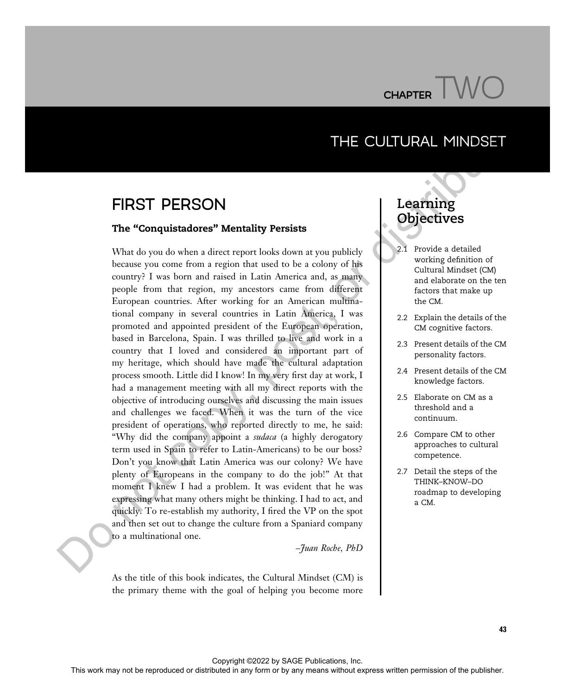

## THE CULTURAL MINDSET

## FIRST PERSON

#### The "Conquistadores" Mentality Persists

What do you do when a direct report looks down at you publicly because you come from a region that used to be a colony of his country? I was born and raised in Latin America and, as many people from that region, my ancestors came from different European countries. After working for an American multinational company in several countries in Latin America, I was promoted and appointed president of the European operation, based in Barcelona, Spain. I was thrilled to live and work in a country that I loved and considered an important part of my heritage, which should have made the cultural adaptation process smooth. Little did I know! In my very first day at work, I had a management meeting with all my direct reports with the objective of introducing ourselves and discussing the main issues and challenges we faced. When it was the turn of the vice president of operations, who reported directly to me, he said: "Why did the company appoint a *sudaca* (a highly derogatory term used in Spain to refer to Latin-Americans) to be our boss? Don't you know that Latin America was our colony? We have plenty of Europeans in the company to do the job!" At that moment I knew I had a problem. It was evident that he was expressing what many others might be thinking. I had to act, and quickly. To re-establish my authority, I fired the VP on the spot and then set out to change the culture from a Spaniard company to a multinational one. THE CULTURAL MINDSET CHANNER THE COUNTURAL MINDSET THE "Congress of the result of the result of the reproduced or distributed in any means with the set of the publisher. The means we come that the publisher or distributed

–Juan Roche, PhD

As the title of this book indicates, the Cultural Mindset (CM) is the primary theme with the goal of helping you become more

# Learning<br>Obiectives  $\bigcirc$

- 2.1 Provide a detailed working definition of Cultural Mindset (CM) and elaborate on the ten factors that make up the CM.
- 2.2 Explain the details of the CM cognitive factors.
- 2.3 Present details of the CM personality factors.
- 2.4 Present details of the CM knowledge factors.
- 2.5 Elaborate on CM as a threshold and a continuum.
- 2.6 Compare CM to other approaches to cultural competence.
- 2.7 Detail the steps of the THINK–KNOW–DO roadmap to developing a CM.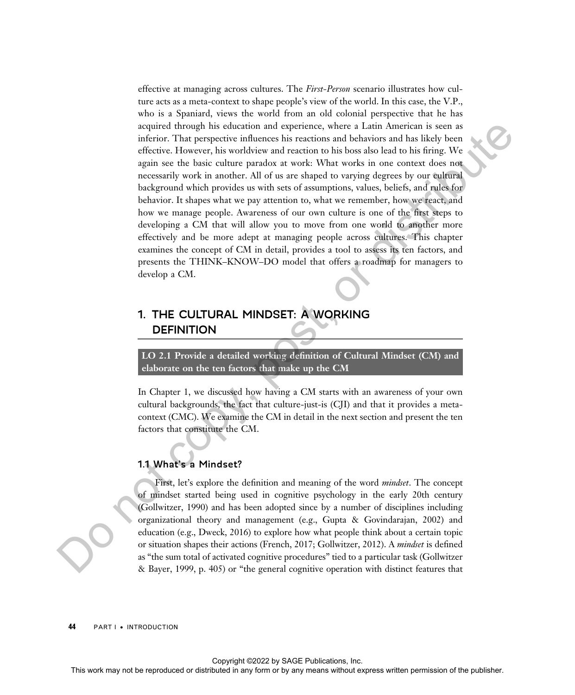effective at managing across cultures. The First-Person scenario illustrates how culture acts as a meta-context to shape people's view of the world. In this case, the V.P., who is a Spaniard, views the world from an old colonial perspective that he has acquired through his education and experience, where a Latin American is seen as inferior. That perspective influences his reactions and behaviors and has likely been effective. However, his worldview and reaction to his boss also lead to his firing. We again see the basic culture paradox at work: What works in one context does not necessarily work in another. All of us are shaped to varying degrees by our cultural background which provides us with sets of assumptions, values, beliefs, and rules for behavior. It shapes what we pay attention to, what we remember, how we react, and how we manage people. Awareness of our own culture is one of the first steps to developing a CM that will allow you to move from one world to another more effectively and be more adept at managing people across cultures. This chapter examines the concept of CM in detail, provides a tool to assess its ten factors, and presents the THINK–KNOW–DO model that offers a roadmap for managers to develop a CM. Any distributed in a choice is a station of the representation in section and a publisher and constraints work may not be reproduced in a mean in any form or distributed in any form or distributed in any form or distrib

## 1. THE CULTURAL MINDSET: A WORKING **DEFINITION**

LO 2.1 Provide a detailed working definition of Cultural Mindset (CM) and elaborate on the ten factors that make up the CM

In Chapter 1, we discussed how having a CM starts with an awareness of your own cultural backgrounds, the fact that culture-just-is (CJI) and that it provides a metacontext (CMC). We examine the CM in detail in the next section and present the ten factors that constitute the CM.

#### 1.1 What's a Mindset?

First, let's explore the definition and meaning of the word *mindset*. The concept of mindset started being used in cognitive psychology in the early 20th century (Gollwitzer, 1990) and has been adopted since by a number of disciplines including organizational theory and management (e.g., Gupta & Govindarajan, 2002) and education (e.g., Dweck, 2016) to explore how what people think about a certain topic or situation shapes their actions (French, 2017; Gollwitzer, 2012). A *mindset* is defined as "the sum total of activated cognitive procedures" tied to a particular task (Gollwitzer & Bayer, 1999, p. 405) or "the general cognitive operation with distinct features that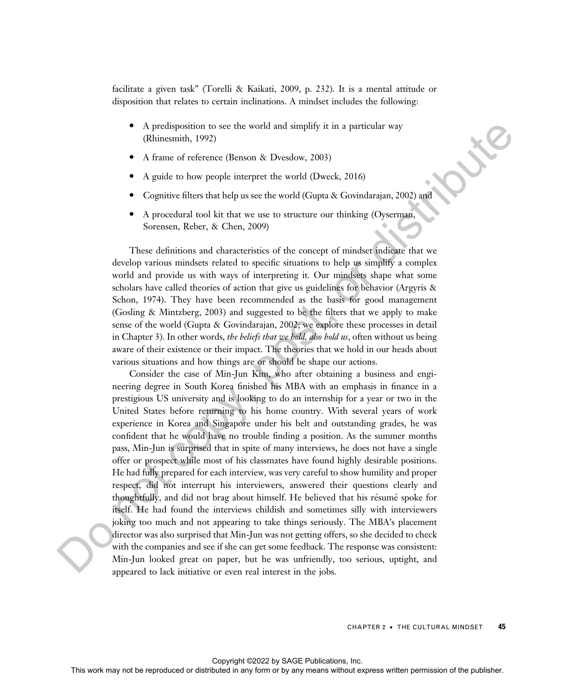facilitate a given task" (Torelli & Kaikati, 2009, p. 232). It is a mental attitude or disposition that relates to certain inclinations. A mindset includes the following:

- · A predisposition to see the world and simplify it in a particular way (Rhinesmith, 1992)
- · A frame of reference (Benson & Dvesdow, 2003)
- · A guide to how people interpret the world (Dweck, 2016)
- Cognitive filters that help us see the world (Gupta & Govindarajan, 2002) and
- A procedural tool kit that we use to structure our thinking (Oyserman, Sorensen, Reber, & Chen, 2009)

These definitions and characteristics of the concept of mindset indicate that we develop various mindsets related to specific situations to help us simplify a complex world and provide us with ways of interpreting it. Our mindsets shape what some scholars have called theories of action that give us guidelines for behavior (Argyris & Schon, 1974). They have been recommended as the basis for good management (Gosling & Mintzberg, 2003) and suggested to be the filters that we apply to make sense of the world (Gupta & Govindarajan, 2002; we explore these processes in detail in Chapter 3). In other words, the beliefs that we hold, also hold us, often without us being aware of their existence or their impact. The theories that we hold in our heads about various situations and how things are or should be shape our actions.

Consider the case of Min-Jun Kim, who after obtaining a business and engineering degree in South Korea finished his MBA with an emphasis in finance in a prestigious US university and is looking to do an internship for a year or two in the United States before returning to his home country. With several years of work experience in Korea and Singapore under his belt and outstanding grades, he was confident that he would have no trouble finding a position. As the summer months pass, Min-Jun is surprised that in spite of many interviews, he does not have a single offer or prospect while most of his classmates have found highly desirable positions. He had fully prepared for each interview, was very careful to show humility and proper respect, did not interrupt his interviewers, answered their questions clearly and thoughtfully, and did not brag about himself. He believed that his résumé spoke for itself. He had found the interviews childish and sometimes silly with interviewers joking too much and not appearing to take things seriously. The MBA's placement director was also surprised that Min-Jun was not getting offers, so she decided to check with the companies and see if she can get some feedback. The response was consistent: Min-Jun looked great on paper, but he was unfriendly, too serious, uptight, and appeared to lack initiative or even real interest in the jobs. A produced in the original or so the world and simplify it in a particular way  $\blacksquare$ <br>
A France of relations (Eleanor, S. Oregions A. Decelaror, 2003)<br>
• Copyrigue time with the pure set worth (Copyrig Copyrigue 10.01)<br>
•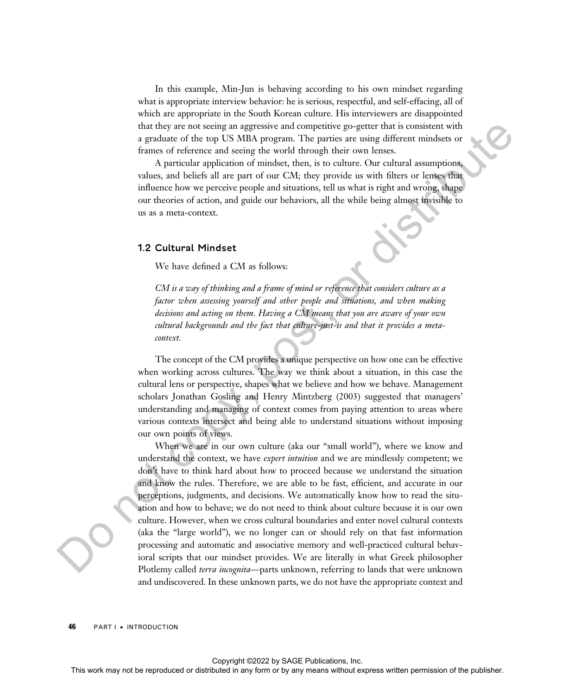In this example, Min-Jun is behaving according to his own mindset regarding what is appropriate interview behavior: he is serious, respectful, and self-effacing, all of which are appropriate in the South Korean culture. His interviewers are disappointed that they are not seeing an aggressive and competitive go-getter that is consistent with a graduate of the top US MBA program. The parties are using different mindsets or frames of reference and seeing the world through their own lenses.

A particular application of mindset, then, is to culture. Our cultural assumptions, values, and beliefs all are part of our CM; they provide us with filters or lenses that influence how we perceive people and situations, tell us what is right and wrong, shape our theories of action, and guide our behaviors, all the while being almost invisible to us as a meta-context.

#### 1.2 Cultural Mindset

We have defined a CM as follows:

CM is a way of thinking and a frame of mind or reference that considers culture as a factor when assessing yourself and other people and situations, and when making decisions and acting on them. Having a CM means that you are aware of your own cultural backgrounds and the fact that culture-just-is and that it provides a metacontext.

The concept of the CM provides a unique perspective on how one can be effective when working across cultures. The way we think about a situation, in this case the cultural lens or perspective, shapes what we believe and how we behave. Management scholars Jonathan Gosling and Henry Mintzberg (2003) suggested that managers' understanding and managing of context comes from paying attention to areas where various contexts intersect and being able to understand situations without imposing our own points of views.

When we are in our own culture (aka our "small world"), where we know and understand the context, we have *expert intuition* and we are mindlessly competent; we don't have to think hard about how to proceed because we understand the situation and know the rules. Therefore, we are able to be fast, efficient, and accurate in our perceptions, judgments, and decisions. We automatically know how to read the situation and how to behave; we do not need to think about culture because it is our own culture. However, when we cross cultural boundaries and enter novel cultural contexts (aka the "large world"), we no longer can or should rely on that fast information processing and automatic and associative memory and well-practiced cultural behavioral scripts that our mindset provides. We are literally in what Greek philosopher Plotlemy called *terra incognita*—parts unknown, referring to lands that were unknown and undiscovered. In these unknown parts, we do not have the appropriate context and This work may not be reproduced or the reproduced or the reproduced in a consistent with the conservation of the reproduced in any form or distributed in the reproduced in any means of the conservation of the publisher. T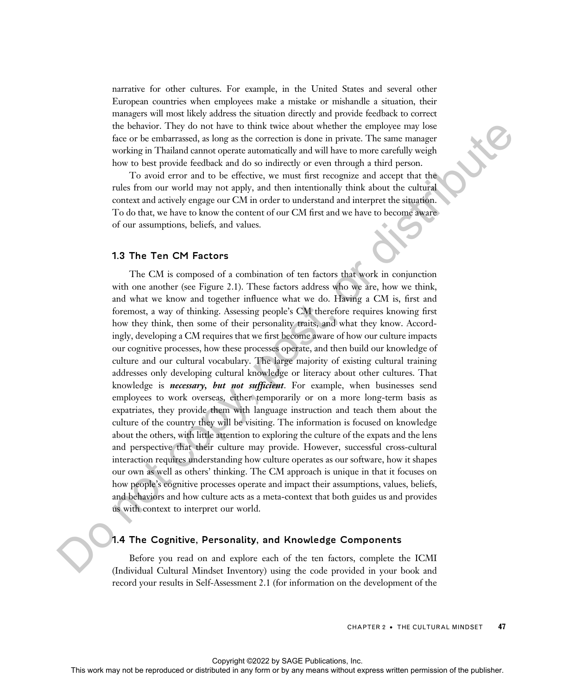narrative for other cultures. For example, in the United States and several other European countries when employees make a mistake or mishandle a situation, their managers will most likely address the situation directly and provide feedback to correct the behavior. They do not have to think twice about whether the employee may lose face or be embarrassed, as long as the correction is done in private. The same manager working in Thailand cannot operate automatically and will have to more carefully weigh how to best provide feedback and do so indirectly or even through a third person.

To avoid error and to be effective, we must first recognize and accept that the rules from our world may not apply, and then intentionally think about the cultural context and actively engage our CM in order to understand and interpret the situation. To do that, we have to know the content of our CM first and we have to become aware of our assumptions, beliefs, and values.

#### 1.3 The Ten CM Factors

The CM is composed of a combination of ten factors that work in conjunction with one another (see Figure 2.1). These factors address who we are, how we think, and what we know and together influence what we do. Having a CM is, first and foremost, a way of thinking. Assessing people's CM therefore requires knowing first how they think, then some of their personality traits, and what they know. Accordingly, developing a CM requires that we first become aware of how our culture impacts our cognitive processes, how these processes operate, and then build our knowledge of culture and our cultural vocabulary. The large majority of existing cultural training addresses only developing cultural knowledge or literacy about other cultures. That knowledge is **necessary**, but not sufficient. For example, when businesses send employees to work overseas, either temporarily or on a more long-term basis as expatriates, they provide them with language instruction and teach them about the culture of the country they will be visiting. The information is focused on knowledge about the others, with little attention to exploring the culture of the expats and the lens and perspective that their culture may provide. However, successful cross-cultural interaction requires understanding how culture operates as our software, how it shapes our own as well as others' thinking. The CM approach is unique in that it focuses on how people's cognitive processes operate and impact their assumptions, values, beliefs, and behaviors and how culture acts as a meta-context that both guides us and provides us with context to interpret our world. In the control of the control or the complete the complete control or the publisher in the control or the publisher in The control or the complete or the complete or the complete or the complete or the complete or the com

#### 1.4 The Cognitive, Personality, and Knowledge Components

Before you read on and explore each of the ten factors, complete the ICMI (Individual Cultural Mindset Inventory) using the code provided in your book and record your results in Self-Assessment 2.1 (for information on the development of the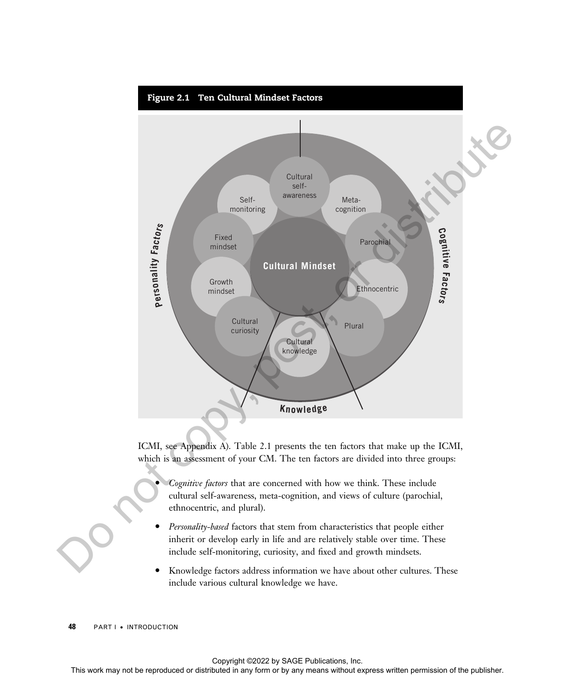

ICMI, see Appendix A). Table 2.1 presents the ten factors that make up the ICMI, which is an assessment of your CM. The ten factors are divided into three groups:

- Cognitive factors that are concerned with how we think. These include cultural self-awareness, meta-cognition, and views of culture (parochial, ethnocentric, and plural).
- Personality-based factors that stem from characteristics that people either inherit or develop early in life and are relatively stable over time. These include self-monitoring, curiosity, and fixed and growth mindsets.
- · Knowledge factors address information we have about other cultures. These include various cultural knowledge we have.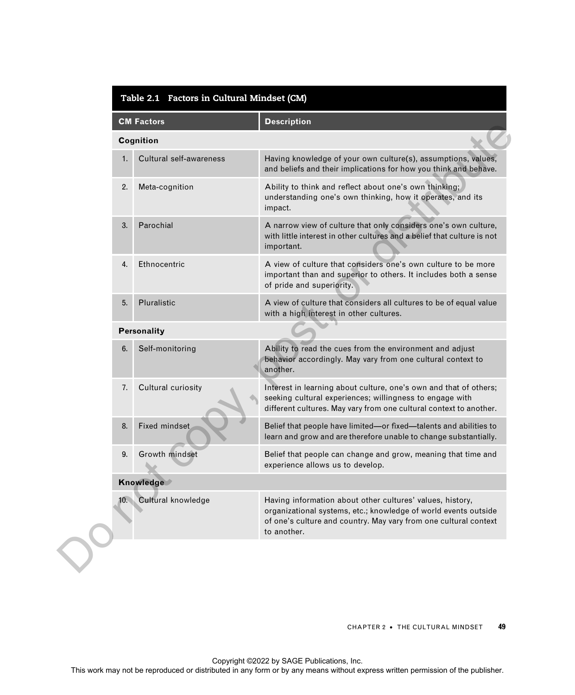|    | <b>CM Factors</b>       | <b>Description</b>                                                                                                                                                                                              |
|----|-------------------------|-----------------------------------------------------------------------------------------------------------------------------------------------------------------------------------------------------------------|
|    | Cognition               |                                                                                                                                                                                                                 |
| 1. | Cultural self-awareness | Having knowledge of your own culture(s), assumptions, values,<br>and beliefs and their implications for how you think and behave.                                                                               |
| 2. | Meta-cognition          | Ability to think and reflect about one's own thinking;<br>understanding one's own thinking, how it operates, and its<br>impact.                                                                                 |
| 3. | Parochial               | A narrow view of culture that only considers one's own culture,<br>with little interest in other cultures and a belief that culture is not<br>important.                                                        |
| 4. | Ethnocentric            | A view of culture that considers one's own culture to be more<br>important than and superior to others. It includes both a sense<br>of pride and superiority.                                                   |
| 5. | Pluralistic             | A view of culture that considers all cultures to be of equal value<br>with a high interest in other cultures.                                                                                                   |
|    | Personality             |                                                                                                                                                                                                                 |
| 6. | Self-monitoring         | Ability to read the cues from the environment and adjust<br>behavior accordingly. May vary from one cultural context to<br>another.                                                                             |
| 7. | Cultural curiosity      | Interest in learning about culture, one's own and that of others;<br>seeking cultural experiences; willingness to engage with<br>different cultures. May vary from one cultural context to another.             |
| 8. | Fixed mindset.          | Belief that people have limited-or fixed-talents and abilities to<br>learn and grow and are therefore unable to change substantially.                                                                           |
| 9. | Growth mindset          | Belief that people can change and grow, meaning that time and<br>experience allows us to develop.                                                                                                               |
|    | Knowledge               |                                                                                                                                                                                                                 |
|    | 10. Cultural knowledge  | Having information about other cultures' values, history,<br>organizational systems, etc.; knowledge of world events outside<br>of one's culture and country. May vary from one cultural context<br>to another. |
|    |                         |                                                                                                                                                                                                                 |
|    |                         | <b>CHAPTER 2 . THE CULTURAL MINDSET</b>                                                                                                                                                                         |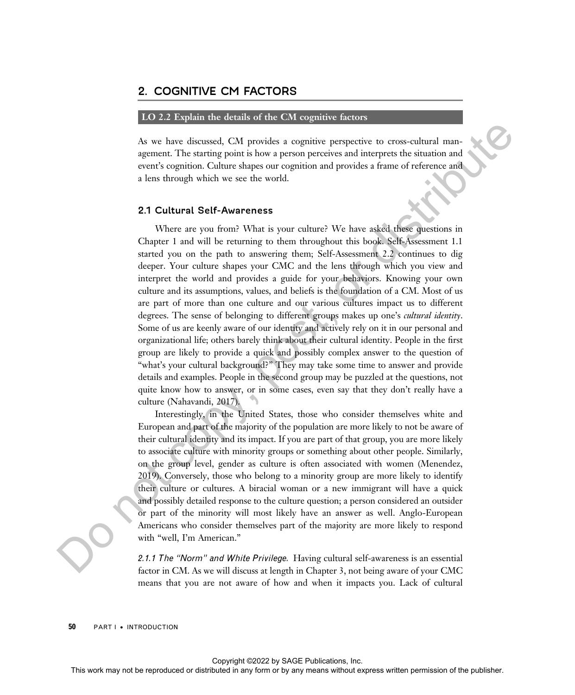#### 2. COGNITIVE CM FACTORS

#### LO 2.2 Explain the details of the CM cognitive factors

As we have discussed, CM provides a cognitive perspective to cross-cultural management. The starting point is how a person perceives and interprets the situation and event's cognition. Culture shapes our cognition and provides a frame of reference and a lens through which we see the world.

#### 2.1 Cultural Self-Awareness

Where are you from? What is your culture? We have asked these questions in Chapter 1 and will be returning to them throughout this book. Self-Assessment 1.1 started you on the path to answering them; Self-Assessment 2.2 continues to dig deeper. Your culture shapes your CMC and the lens through which you view and interpret the world and provides a guide for your behaviors. Knowing your own culture and its assumptions, values, and beliefs is the foundation of a CM. Most of us are part of more than one culture and our various cultures impact us to different degrees. The sense of belonging to different groups makes up one's *cultural identity*. Some of us are keenly aware of our identity and actively rely on it in our personal and organizational life; others barely think about their cultural identity. People in the first group are likely to provide a quick and possibly complex answer to the question of "what's your cultural background?" They may take some time to answer and provide details and examples. People in the second group may be puzzled at the questions, not quite know how to answer, or in some cases, even say that they don't really have a culture (Nahavandi, 2017). As we have distributed or provides a cognitive proparties to transmission and any account Che statistic and in any account permission of the internet or distributed in a last through which we see the world.<br>
2.1 Cultured

Interestingly, in the United States, those who consider themselves white and European and part of the majority of the population are more likely to not be aware of their cultural identity and its impact. If you are part of that group, you are more likely to associate culture with minority groups or something about other people. Similarly, on the group level, gender as culture is often associated with women (Menendez, 2019). Conversely, those who belong to a minority group are more likely to identify their culture or cultures. A biracial woman or a new immigrant will have a quick and possibly detailed response to the culture question; a person considered an outsider or part of the minority will most likely have an answer as well. Anglo-European Americans who consider themselves part of the majority are more likely to respond with "well, I'm American."

2.1.1 The "Norm" and White Privilege. Having cultural self-awareness is an essential factor in CM. As we will discuss at length in Chapter 3, not being aware of your CMC means that you are not aware of how and when it impacts you. Lack of cultural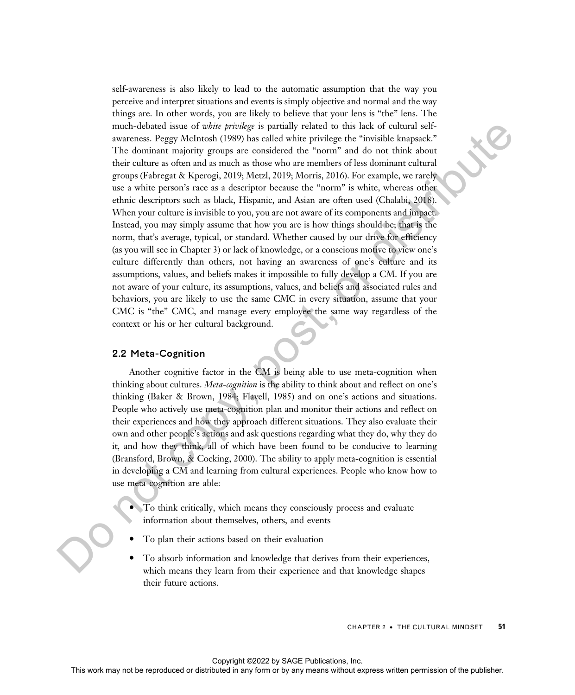self-awareness is also likely to lead to the automatic assumption that the way you perceive and interpret situations and events is simply objective and normal and the way things are. In other words, you are likely to believe that your lens is "the" lens. The much-debated issue of white privilege is partially related to this lack of cultural selfawareness. Peggy McIntosh (1989) has called white privilege the "invisible knapsack." The dominant majority groups are considered the "norm" and do not think about their culture as often and as much as those who are members of less dominant cultural groups (Fabregat & Kperogi, 2019; Metzl, 2019; Morris, 2016). For example, we rarely use a white person's race as a descriptor because the "norm" is white, whereas other ethnic descriptors such as black, Hispanic, and Asian are often used (Chalabi, 2018). When your culture is invisible to you, you are not aware of its components and impact. Instead, you may simply assume that how you are is how things should be; that is the norm, that's average, typical, or standard. Whether caused by our drive for efficiency (as you will see in Chapter 3) or lack of knowledge, or a conscious motive to view one's culture differently than others, not having an awareness of one's culture and its assumptions, values, and beliefs makes it impossible to fully develop a CM. If you are not aware of your culture, its assumptions, values, and beliefs and associated rules and behaviors, you are likely to use the same CMC in every situation, assume that your CMC is "the" CMC, and manage every employee the same way regardless of the context or his or her cultural background. may not be reproduced in any two produced or distributed or this lack of columnals contained in any means were also that increase the reproduced in any form or any means were presented in a mean of the publisher. The comm

#### 2.2 Meta-Cognition

Another cognitive factor in the CM is being able to use meta-cognition when thinking about cultures. Meta-cognition is the ability to think about and reflect on one's thinking (Baker & Brown, 1984; Flavell, 1985) and on one's actions and situations. People who actively use meta-cognition plan and monitor their actions and reflect on their experiences and how they approach different situations. They also evaluate their own and other people's actions and ask questions regarding what they do, why they do it, and how they think, all of which have been found to be conducive to learning (Bransford, Brown, & Cocking, 2000). The ability to apply meta-cognition is essential in developing a CM and learning from cultural experiences. People who know how to use meta-cognition are able:

- · To think critically, which means they consciously process and evaluate information about themselves, others, and events
- To plan their actions based on their evaluation
- To absorb information and knowledge that derives from their experiences, which means they learn from their experience and that knowledge shapes their future actions.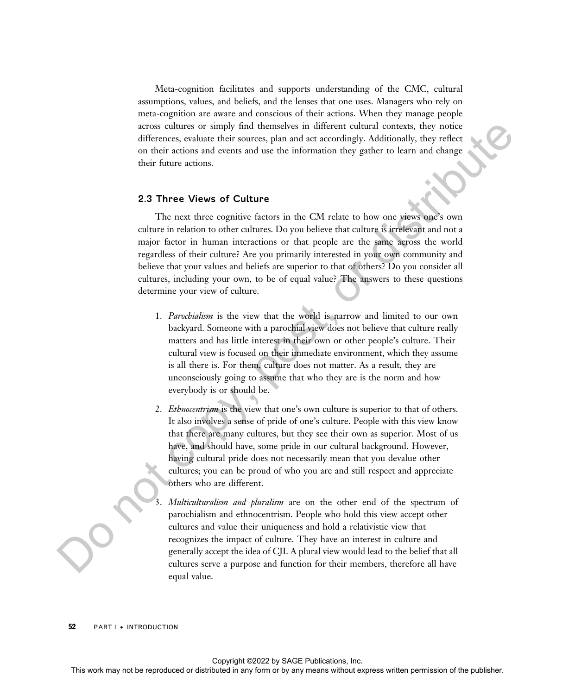Meta-cognition facilitates and supports understanding of the CMC, cultural assumptions, values, and beliefs, and the lenses that one uses. Managers who rely on meta-cognition are aware and conscious of their actions. When they manage people across cultures or simply find themselves in different cultural contexts, they notice differences, evaluate their sources, plan and act accordingly. Additionally, they reflect on their actions and events and use the information they gather to learn and change their future actions.

#### 2.3 Three Views of Culture

The next three cognitive factors in the CM relate to how one views one's own culture in relation to other cultures. Do you believe that culture is irrelevant and not a major factor in human interactions or that people are the same across the world regardless of their culture? Are you primarily interested in your own community and believe that your values and beliefs are superior to that of others? Do you consider all cultures, including your own, to be of equal value? The answers to these questions determine your view of culture. Express to control the reproduced or distributed in any form or by any means with the reproduced or distribution and control the reproduced or the publisher. The set the produced in any form of the publisher or by any mea

- 1. Parochialism is the view that the world is narrow and limited to our own backyard. Someone with a parochial view does not believe that culture really matters and has little interest in their own or other people's culture. Their cultural view is focused on their immediate environment, which they assume is all there is. For them, culture does not matter. As a result, they are unconsciously going to assume that who they are is the norm and how everybody is or should be.
- 2. *Ethnocentrism* is the view that one's own culture is superior to that of others. It also involves a sense of pride of one's culture. People with this view know that there are many cultures, but they see their own as superior. Most of us have, and should have, some pride in our cultural background. However, having cultural pride does not necessarily mean that you devalue other cultures; you can be proud of who you are and still respect and appreciate others who are different.

Multiculturalism and pluralism are on the other end of the spectrum of parochialism and ethnocentrism. People who hold this view accept other cultures and value their uniqueness and hold a relativistic view that recognizes the impact of culture. They have an interest in culture and generally accept the idea of CJI. A plural view would lead to the belief that all cultures serve a purpose and function for their members, therefore all have equal value.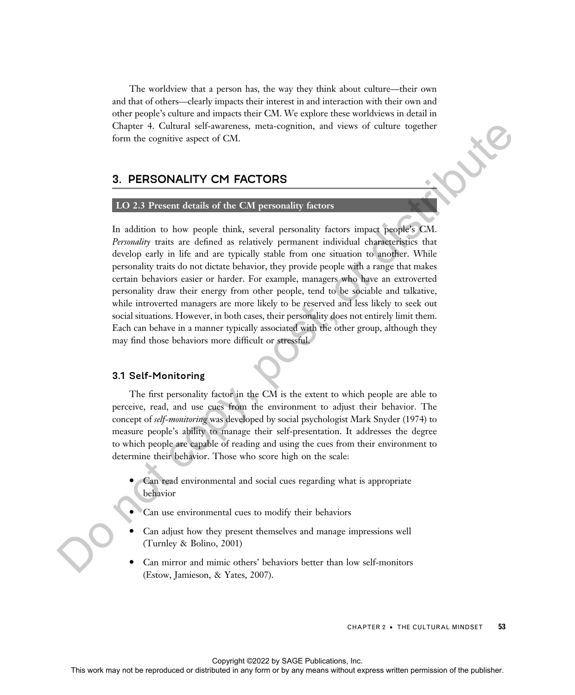The worldview that a person has, the way they think about culture—their own and that of others—clearly impacts their interest in and interaction with their own and other people's culture and impacts their CM. We explore these worldviews in detail in Chapter 4. Cultural self-awareness, meta-cognition, and views of culture together form the cognitive aspect of CM.

### 3. PERSONALITY CM FACTORS

#### LO 2.3 Present details of the CM personality factors

In addition to how people think, several personality factors impact people's CM. Personality traits are defined as relatively permanent individual characteristics that develop early in life and are typically stable from one situation to another. While personality traits do not dictate behavior, they provide people with a range that makes certain behaviors easier or harder. For example, managers who have an extroverted personality draw their energy from other people, tend to be sociable and talkative, while introverted managers are more likely to be reserved and less likely to seek out social situations. However, in both cases, their personality does not entirely limit them. Each can behave in a manner typically associated with the other group, although they may find those behaviors more difficult or stressful. Clayer 4. Calculate the research may not be reproduced to the results of the results of the results of the results of the results of the results of the results of the publisher. The angle of the publisher or both distribu

#### 3.1 Self-Monitoring

The first personality factor in the CM is the extent to which people are able to perceive, read, and use cues from the environment to adjust their behavior. The concept of self-monitoring was developed by social psychologist Mark Snyder (1974) to measure people's ability to manage their self-presentation. It addresses the degree to which people are capable of reading and using the cues from their environment to determine their behavior. Those who score high on the scale:

- · Can read environmental and social cues regarding what is appropriate behavior
- · Can use environmental cues to modify their behaviors
- Can adjust how they present themselves and manage impressions well (Turnley & Bolino, 2001)
- Can mirror and mimic others' behaviors better than low self-monitors (Estow, Jamieson, & Yates, 2007).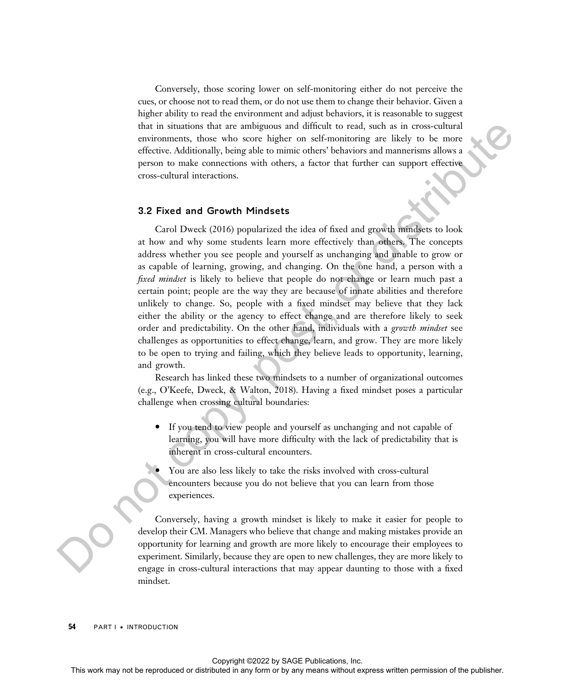Conversely, those scoring lower on self-monitoring either do not perceive the cues, or choose not to read them, or do not use them to change their behavior. Given a higher ability to read the environment and adjust behaviors, it is reasonable to suggest that in situations that are ambiguous and difficult to read, such as in cross-cultural environments, those who score higher on self-monitoring are likely to be more effective. Additionally, being able to mimic others' behaviors and mannerisms allows a person to make connections with others, a factor that further can support effective cross-cultural interactions.

#### 3.2 Fixed and Growth Mindsets

Carol Dweck (2016) popularized the idea of fixed and growth mindsets to look at how and why some students learn more effectively than others. The concepts address whether you see people and yourself as unchanging and unable to grow or as capable of learning, growing, and changing. On the one hand, a person with a fixed mindset is likely to believe that people do not change or learn much past a certain point; people are the way they are because of innate abilities and therefore unlikely to change. So, people with a fixed mindset may believe that they lack either the ability or the agency to effect change and are therefore likely to seek order and predictability. On the other hand, individuals with a growth mindset see challenges as opportunities to effect change, learn, and grow. They are more likely to be open to trying and failing, which they believe leads to opportunity, learning, and growth. that is similarly the reproduced or distributed to real solicity to reproduce a subset of the control or distributed in any pair or distributed in any mean of the comparison of the publisher. Although also to make only a

Research has linked these two mindsets to a number of organizational outcomes (e.g., O'Keefe, Dweck, & Walton, 2018). Having a fixed mindset poses a particular challenge when crossing cultural boundaries:

- · If you tend to view people and yourself as unchanging and not capable of learning, you will have more difficulty with the lack of predictability that is inherent in cross-cultural encounters.
- You are also less likely to take the risks involved with cross-cultural encounters because you do not believe that you can learn from those experiences.

Conversely, having a growth mindset is likely to make it easier for people to develop their CM. Managers who believe that change and making mistakes provide an opportunity for learning and growth are more likely to encourage their employees to experiment. Similarly, because they are open to new challenges, they are more likely to engage in cross-cultural interactions that may appear daunting to those with a fixed mindset.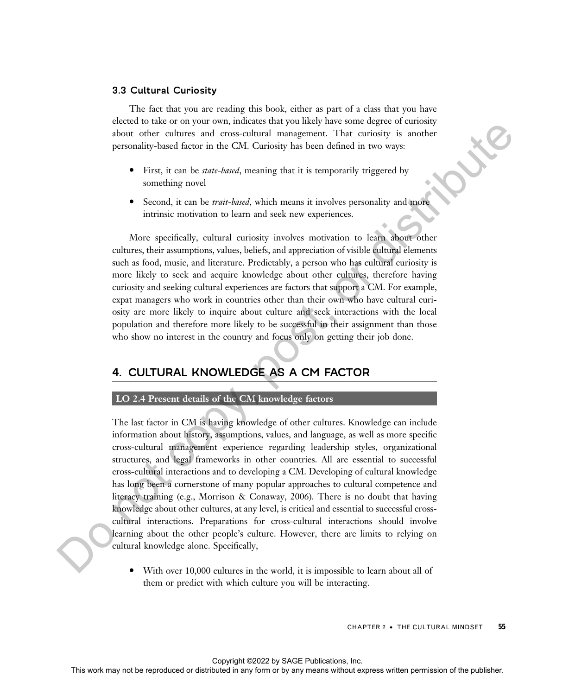#### 3.3 Cultural Curiosity

The fact that you are reading this book, either as part of a class that you have elected to take or on your own, indicates that you likely have some degree of curiosity about other cultures and cross-cultural management. That curiosity is another personality-based factor in the CM. Curiosity has been defined in two ways:

- First, it can be *state-based*, meaning that it is temporarily triggered by something novel
- Second, it can be *trait-based*, which means it involves personality and more intrinsic motivation to learn and seek new experiences.

More specifically, cultural curiosity involves motivation to learn about other cultures, their assumptions, values, beliefs, and appreciation of visible cultural elements such as food, music, and literature. Predictably, a person who has cultural curiosity is more likely to seek and acquire knowledge about other cultures, therefore having curiosity and seeking cultural experiences are factors that support a CM. For example, expat managers who work in countries other than their own who have cultural curiosity are more likely to inquire about culture and seek interactions with the local population and therefore more likely to be successful in their assignment than those who show no interest in the country and focus only on getting their job done.

## 4. CULTURAL KNOWLEDGE AS A CM FACTOR

#### LO 2.4 Present details of the CM knowledge factors

The last factor in CM is having knowledge of other cultures. Knowledge can include information about history, assumptions, values, and language, as well as more specific cross-cultural management experience regarding leadership styles, organizational structures, and legal frameworks in other countries. All are essential to successful cross-cultural interactions and to developing a CM. Developing of cultural knowledge has long been a cornerstone of many popular approaches to cultural competence and literacy training (e.g., Morrison & Conaway, 2006). There is no doubt that having knowledge about other cultures, at any level, is critical and essential to successful crosscultural interactions. Preparations for cross-cultural interactions should involve learning about the other people's culture. However, there are limits to relying on cultural knowledge alone. Specifically, This work was not be reproduced to the results of the publisher and the representation of the results of the results of the results of the publisher and the publisher and the publisher and the publisher of the publisher o

· With over 10,000 cultures in the world, it is impossible to learn about all of them or predict with which culture you will be interacting.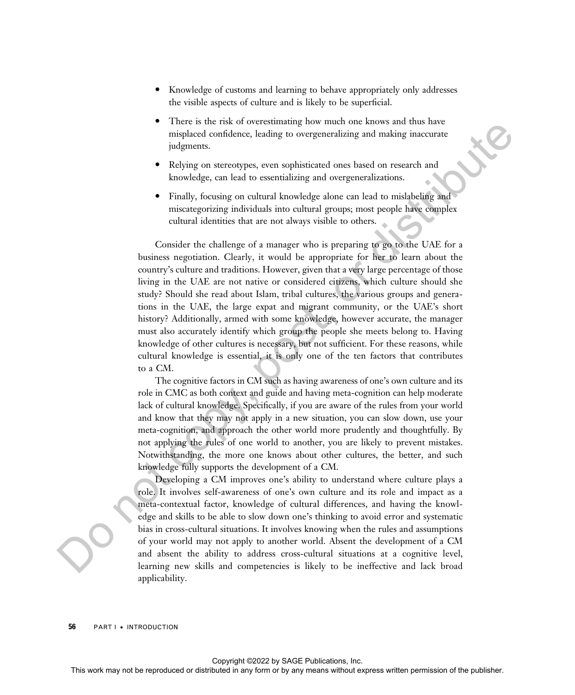- Knowledge of customs and learning to behave appropriately only addresses the visible aspects of culture and is likely to be superficial.
- There is the risk of overestimating how much one knows and thus have misplaced confidence, leading to overgeneralizing and making inaccurate judgments.
- Relying on stereotypes, even sophisticated ones based on research and knowledge, can lead to essentializing and overgeneralizations.
- Finally, focusing on cultural knowledge alone can lead to mislabeling and miscategorizing individuals into cultural groups; most people have complex cultural identities that are not always visible to others.

Consider the challenge of a manager who is preparing to go to the UAE for a business negotiation. Clearly, it would be appropriate for her to learn about the country's culture and traditions. However, given that a very large percentage of those living in the UAE are not native or considered citizens, which culture should she study? Should she read about Islam, tribal cultures, the various groups and generations in the UAE, the large expat and migrant community, or the UAE's short history? Additionally, armed with some knowledge, however accurate, the manager must also accurately identify which group the people she meets belong to. Having knowledge of other cultures is necessary, but not sufficient. For these reasons, while cultural knowledge is essential, it is only one of the ten factors that contributes to a CM. This may not are consistent or distributed or distributed or distributed in any form or by any means we have the state or distributed in any means we have the publisher and the publisher. This we have the publisher constr

The cognitive factors in CM such as having awareness of one's own culture and its role in CMC as both context and guide and having meta-cognition can help moderate lack of cultural knowledge. Specifically, if you are aware of the rules from your world and know that they may not apply in a new situation, you can slow down, use your meta-cognition, and approach the other world more prudently and thoughtfully. By not applying the rules of one world to another, you are likely to prevent mistakes. Notwithstanding, the more one knows about other cultures, the better, and such knowledge fully supports the development of a CM.

Developing a CM improves one's ability to understand where culture plays a role. It involves self-awareness of one's own culture and its role and impact as a meta-contextual factor, knowledge of cultural differences, and having the knowledge and skills to be able to slow down one's thinking to avoid error and systematic bias in cross-cultural situations. It involves knowing when the rules and assumptions of your world may not apply to another world. Absent the development of a CM and absent the ability to address cross-cultural situations at a cognitive level, learning new skills and competencies is likely to be ineffective and lack broad applicability.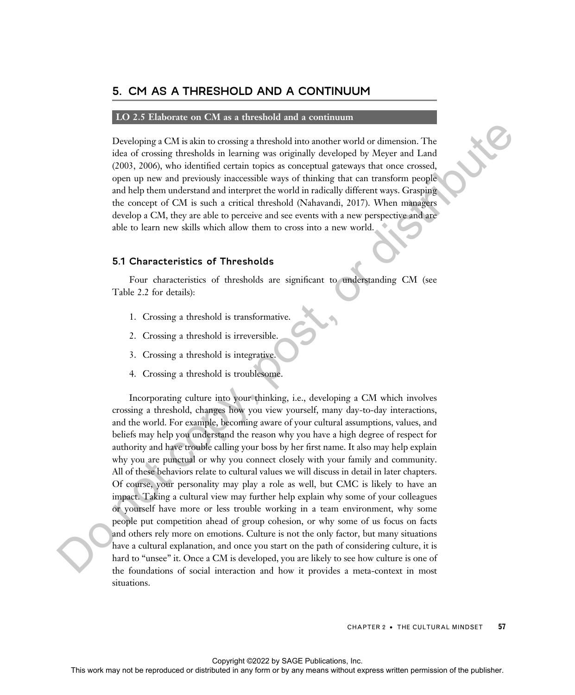### 5. CM AS A THRESHOLD AND A CONTINUUM

#### LO 2.5 Elaborate on CM as a threshold and a continuum

Developing a CM is akin to crossing a threshold into another world or dimension. The idea of crossing thresholds in learning was originally developed by Meyer and Land (2003, 2006), who identified certain topics as conceptual gateways that once crossed, open up new and previously inaccessible ways of thinking that can transform people and help them understand and interpret the world in radically different ways. Grasping the concept of CM is such a critical threshold (Nahavandi, 2017). When managers develop a CM, they are able to perceive and see events with a new perspective and are able to learn new skills which allow them to cross into a new world.

#### 5.1 Characteristics of Thresholds

Four characteristics of thresholds are significant to understanding CM (see Table 2.2 for details):

- 1. Crossing a threshold is transformative.
- 2. Crossing a threshold is irreversible.
- 3. Crossing a threshold is integrative.
- 4. Crossing a threshold is troublesome.

Incorporating culture into your thinking, i.e., developing a CM which involves crossing a threshold, changes how you view yourself, many day-to-day interactions, and the world. For example, becoming aware of your cultural assumptions, values, and beliefs may help you understand the reason why you have a high degree of respect for authority and have trouble calling your boss by her first name. It also may help explain why you are punctual or why you connect closely with your family and community. All of these behaviors relate to cultural values we will discuss in detail in later chapters. Of course, your personality may play a role as well, but CMC is likely to have an impact. Taking a cultural view may further help explain why some of your colleagues or yourself have more or less trouble working in a team environment, why some people put competition ahead of group cohesion, or why some of us focus on facts and others rely more on emotions. Culture is not the only factor, but many situations have a cultural explanation, and once you start on the path of considering culture, it is hard to "unsee" it. Once a CM is developed, you are likely to see how culture is one of the foundations of social interaction and how it provides a meta-context in most situations. Developing a CM is alan to crossing a threshold into another world or distributed in any or the representation in a can also the representation of the representation of the publisher and the contrast way of the distribute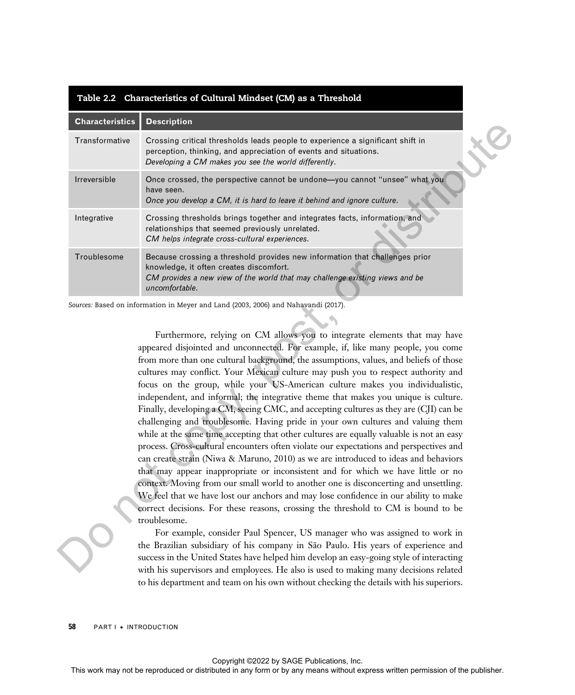| Transformative<br>Crossing critical thresholds leads people to experience a significant shift in<br>perception, thinking, and appreciation of events and situations.<br>Developing a CM makes you see the world differently.<br>Once crossed, the perspective cannot be undone-you cannot "unsee" what you<br>have seen.<br>Once you develop a CM, it is hard to leave it behind and ignore culture.<br>Crossing thresholds brings together and integrates facts, information, and<br>relationships that seemed previously unrelated.<br>CM helps integrate cross-cultural experiences.<br>Because crossing a threshold provides new information that challenges prior<br>knowledge, it often creates discomfort.<br>CM provides a new view of the world that may challenge existing views and be<br>uncomfortable.<br>Furthermore, relying on CM allows you to integrate elements that may have<br>appeared disjointed and unconnected. For example, if, like many people, you come<br>from more than one cultural background, the assumptions, values, and beliefs of those<br>cultures may conflict. Your Mexican culture may push you to respect authority and<br>focus on the group, while your US-American culture makes you individualistic,<br>independent, and informal; the integrative theme that makes you unique is culture.<br>Finally, developing a CM, seeing CMC, and accepting cultures as they are (CJI) can be<br>challenging and troublesome. Having pride in your own cultures and valuing them<br>while at the same time accepting that other cultures are equally valuable is not an easy<br>process. Cross-cultural encounters often violate our expectations and perspectives and<br>can create strain (Niwa & Maruno, 2010) as we are introduced to ideas and behaviors<br>that may appear inappropriate or inconsistent and for which we have little or no<br>context. Moving from our small world to another one is disconcerting and unsettling.<br>We feel that we have lost our anchors and may lose confidence in our ability to make<br>correct decisions. For these reasons, crossing the threshold to CM is bound to be<br>troublesome.<br>For example, consider Paul Spencer, US manager who was assigned to work in<br>the Brazilian subsidiary of his company in São Paulo. His years of experience and<br>success in the United States have helped him develop an easy-going style of interacting<br>with his supervisors and employees. He also is used to making many decisions related |              | <b>Description</b>                                                                     |  |
|-----------------------------------------------------------------------------------------------------------------------------------------------------------------------------------------------------------------------------------------------------------------------------------------------------------------------------------------------------------------------------------------------------------------------------------------------------------------------------------------------------------------------------------------------------------------------------------------------------------------------------------------------------------------------------------------------------------------------------------------------------------------------------------------------------------------------------------------------------------------------------------------------------------------------------------------------------------------------------------------------------------------------------------------------------------------------------------------------------------------------------------------------------------------------------------------------------------------------------------------------------------------------------------------------------------------------------------------------------------------------------------------------------------------------------------------------------------------------------------------------------------------------------------------------------------------------------------------------------------------------------------------------------------------------------------------------------------------------------------------------------------------------------------------------------------------------------------------------------------------------------------------------------------------------------------------------------------------------------------------------------------------------------------------------------------------------------------------------------------------------------------------------------------------------------------------------------------------------------------------------------------------------------------------------------------------------------------------------------------------------------------------------------------------------------------------------------------------------------------------------------------------------------------|--------------|----------------------------------------------------------------------------------------|--|
|                                                                                                                                                                                                                                                                                                                                                                                                                                                                                                                                                                                                                                                                                                                                                                                                                                                                                                                                                                                                                                                                                                                                                                                                                                                                                                                                                                                                                                                                                                                                                                                                                                                                                                                                                                                                                                                                                                                                                                                                                                                                                                                                                                                                                                                                                                                                                                                                                                                                                                                                   |              |                                                                                        |  |
| Integrative<br>Troublesome<br>Sources: Based on information in Meyer and Land (2003, 2006) and Nahavandi (2017).                                                                                                                                                                                                                                                                                                                                                                                                                                                                                                                                                                                                                                                                                                                                                                                                                                                                                                                                                                                                                                                                                                                                                                                                                                                                                                                                                                                                                                                                                                                                                                                                                                                                                                                                                                                                                                                                                                                                                                                                                                                                                                                                                                                                                                                                                                                                                                                                                  | Irreversible |                                                                                        |  |
|                                                                                                                                                                                                                                                                                                                                                                                                                                                                                                                                                                                                                                                                                                                                                                                                                                                                                                                                                                                                                                                                                                                                                                                                                                                                                                                                                                                                                                                                                                                                                                                                                                                                                                                                                                                                                                                                                                                                                                                                                                                                                                                                                                                                                                                                                                                                                                                                                                                                                                                                   |              |                                                                                        |  |
|                                                                                                                                                                                                                                                                                                                                                                                                                                                                                                                                                                                                                                                                                                                                                                                                                                                                                                                                                                                                                                                                                                                                                                                                                                                                                                                                                                                                                                                                                                                                                                                                                                                                                                                                                                                                                                                                                                                                                                                                                                                                                                                                                                                                                                                                                                                                                                                                                                                                                                                                   |              |                                                                                        |  |
|                                                                                                                                                                                                                                                                                                                                                                                                                                                                                                                                                                                                                                                                                                                                                                                                                                                                                                                                                                                                                                                                                                                                                                                                                                                                                                                                                                                                                                                                                                                                                                                                                                                                                                                                                                                                                                                                                                                                                                                                                                                                                                                                                                                                                                                                                                                                                                                                                                                                                                                                   |              |                                                                                        |  |
|                                                                                                                                                                                                                                                                                                                                                                                                                                                                                                                                                                                                                                                                                                                                                                                                                                                                                                                                                                                                                                                                                                                                                                                                                                                                                                                                                                                                                                                                                                                                                                                                                                                                                                                                                                                                                                                                                                                                                                                                                                                                                                                                                                                                                                                                                                                                                                                                                                                                                                                                   |              |                                                                                        |  |
|                                                                                                                                                                                                                                                                                                                                                                                                                                                                                                                                                                                                                                                                                                                                                                                                                                                                                                                                                                                                                                                                                                                                                                                                                                                                                                                                                                                                                                                                                                                                                                                                                                                                                                                                                                                                                                                                                                                                                                                                                                                                                                                                                                                                                                                                                                                                                                                                                                                                                                                                   |              | to his department and team on his own without checking the details with his superiors. |  |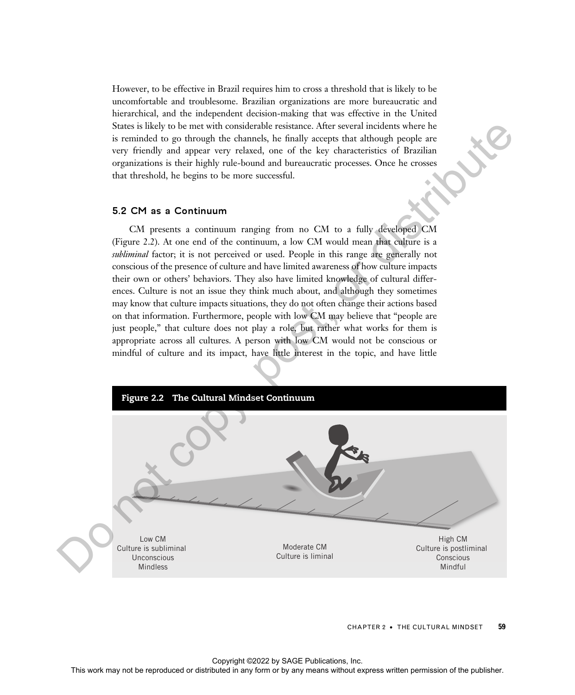However, to be effective in Brazil requires him to cross a threshold that is likely to be uncomfortable and troublesome. Brazilian organizations are more bureaucratic and hierarchical, and the independent decision-making that was effective in the United States is likely to be met with considerable resistance. After several incidents where he is reminded to go through the channels, he finally accepts that although people are very friendly and appear very relaxed, one of the key characteristics of Brazilian organizations is their highly rule-bound and bureaucratic processes. Once he crosses that threshold, he begins to be more successful.

#### 5.2 CM as a Continuum

CM presents a continuum ranging from no CM to a fully developed CM (Figure 2.2). At one end of the continuum, a low CM would mean that culture is a subliminal factor; it is not perceived or used. People in this range are generally not conscious of the presence of culture and have limited awareness of how culture impacts their own or others' behaviors. They also have limited knowledge of cultural differences. Culture is not an issue they think much about, and although they sometimes may know that culture impacts situations, they do not often change their actions based on that information. Furthermore, people with low CM may believe that "people are just people," that culture does not play a role, but rather what works for them is appropriate across all cultures. A person with low CM would not be conscious or mindful of culture and its impact, have little interest in the topic, and have little



CHAPTER 2 · THE CULTURAL MINDSET 59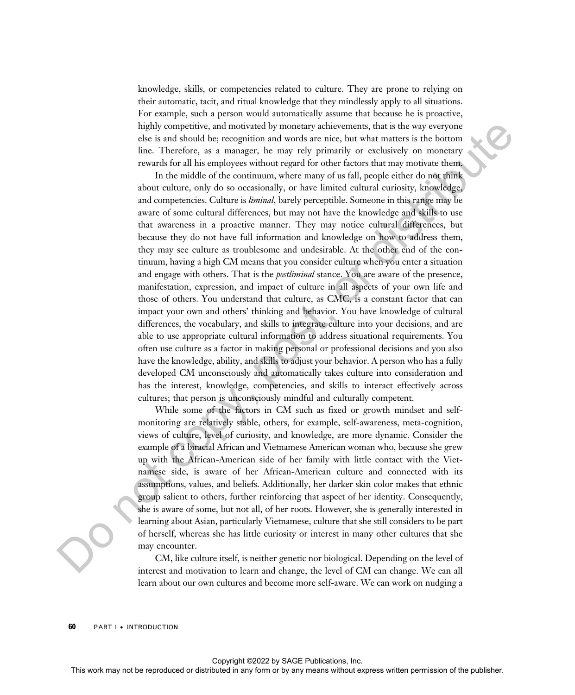knowledge, skills, or competencies related to culture. They are prone to relying on their automatic, tacit, and ritual knowledge that they mindlessly apply to all situations. For example, such a person would automatically assume that because he is proactive, highly competitive, and motivated by monetary achievements, that is the way everyone else is and should be; recognition and words are nice, but what matters is the bottom line. Therefore, as a manager, he may rely primarily or exclusively on monetary rewards for all his employees without regard for other factors that may motivate them.

In the middle of the continuum, where many of us fall, people either do not think about culture, only do so occasionally, or have limited cultural curiosity, knowledge, and competencies. Culture is *liminal*, barely perceptible. Someone in this range may be aware of some cultural differences, but may not have the knowledge and skills to use that awareness in a proactive manner. They may notice cultural differences, but because they do not have full information and knowledge on how to address them, they may see culture as troublesome and undesirable. At the other end of the continuum, having a high CM means that you consider culture when you enter a situation and engage with others. That is the *postliminal* stance. You are aware of the presence, manifestation, expression, and impact of culture in all aspects of your own life and those of others. You understand that culture, as CMC, is a constant factor that can impact your own and others' thinking and behavior. You have knowledge of cultural differences, the vocabulary, and skills to integrate culture into your decisions, and are able to use appropriate cultural information to address situational requirements. You often use culture as a factor in making personal or professional decisions and you also have the knowledge, ability, and skills to adjust your behavior. A person who has a fully developed CM unconsciously and automatically takes culture into consideration and has the interest, knowledge, competencies, and skills to interact effectively across cultures; that person is unconsciously mindful and culturally competent. This work may not be represented or distributed in any form or by an individual or excitation or any form or by any form or by any form or by any form or by any form or by any form or by any form or by any form or by any

While some of the factors in CM such as fixed or growth mindset and selfmonitoring are relatively stable, others, for example, self-awareness, meta-cognition, views of culture, level of curiosity, and knowledge, are more dynamic. Consider the example of a biracial African and Vietnamese American woman who, because she grew up with the African-American side of her family with little contact with the Vietnamese side, is aware of her African-American culture and connected with its assumptions, values, and beliefs. Additionally, her darker skin color makes that ethnic group salient to others, further reinforcing that aspect of her identity. Consequently, she is aware of some, but not all, of her roots. However, she is generally interested in learning about Asian, particularly Vietnamese, culture that she still considers to be part of herself, whereas she has little curiosity or interest in many other cultures that she may encounter.

CM, like culture itself, is neither genetic nor biological. Depending on the level of interest and motivation to learn and change, the level of CM can change. We can all learn about our own cultures and become more self-aware. We can work on nudging a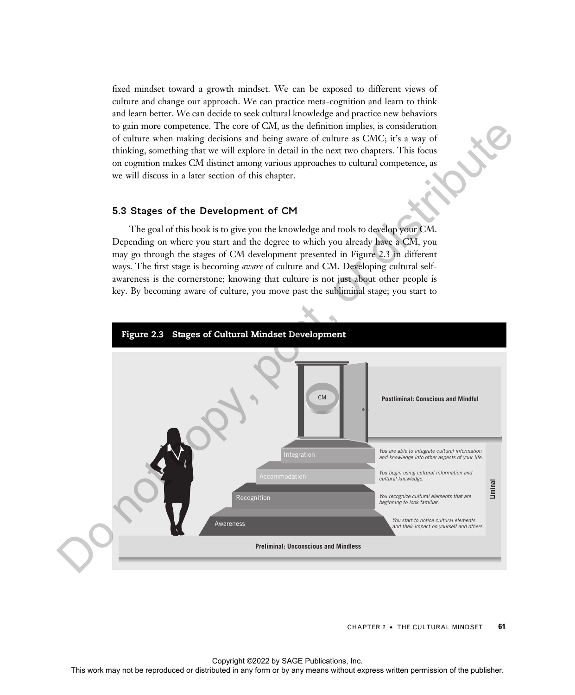fixed mindset toward a growth mindset. We can be exposed to different views of culture and change our approach. We can practice meta-cognition and learn to think and learn better. We can decide to seek cultural knowledge and practice new behaviors to gain more competence. The core of CM, as the definition implies, is consideration of culture when making decisions and being aware of culture as CMC; it's a way of thinking, something that we will explore in detail in the next two chapters. This focus on cognition makes CM distinct among various approaches to cultural competence, as we will discuss in a later section of this chapter.

#### 5.3 Stages of the Development of CM

The goal of this book is to give you the knowledge and tools to develop your CM. Depending on where you start and the degree to which you already have a CM, you may go through the stages of CM development presented in Figure 2.3 in different ways. The first stage is becoming *aware* of culture and CM. Developing cultural selfawareness is the cornerstone; knowing that culture is not just about other people is key. By becoming aware of culture, you move past the subliminal stage; you start to



CHAPTER 2 • THE CULTURAL MINDSET 61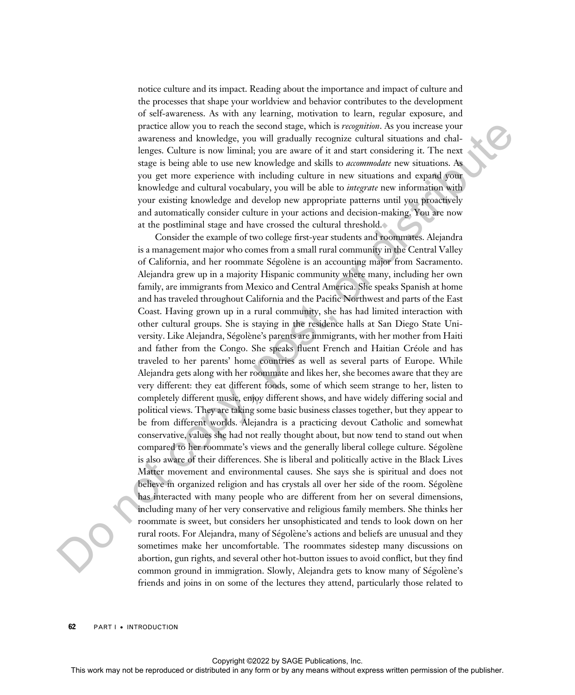notice culture and its impact. Reading about the importance and impact of culture and the processes that shape your worldview and behavior contributes to the development of self-awareness. As with any learning, motivation to learn, regular exposure, and practice allow you to reach the second stage, which is recognition. As you increase your awareness and knowledge, you will gradually recognize cultural situations and challenges. Culture is now liminal; you are aware of it and start considering it. The next stage is being able to use new knowledge and skills to *accommodate* new situations. As you get more experience with including culture in new situations and expand your knowledge and cultural vocabulary, you will be able to *integrate* new information with your existing knowledge and develop new appropriate patterns until you proactively and automatically consider culture in your actions and decision-making. You are now at the postliminal stage and have crossed the cultural threshold.

Consider the example of two college first-year students and roommates. Alejandra is a management major who comes from a small rural community in the Central Valley of California, and her roommate Ségolène is an accounting major from Sacramento. Alejandra grew up in a majority Hispanic community where many, including her own family, are immigrants from Mexico and Central America. She speaks Spanish at home and has traveled throughout California and the Pacific Northwest and parts of the East Coast. Having grown up in a rural community, she has had limited interaction with other cultural groups. She is staying in the residence halls at San Diego State University. Like Alejandra, Ségolène's parents are immigrants, with her mother from Haiti and father from the Congo. She speaks fluent French and Haitian Créole and has traveled to her parents' home countries as well as several parts of Europe. While Alejandra gets along with her roommate and likes her, she becomes aware that they are very different: they eat different foods, some of which seem strange to her, listen to completely different music, enjoy different shows, and have widely differing social and political views. They are taking some basic business classes together, but they appear to be from different worlds. Alejandra is a practicing devout Catholic and somewhat conservative, values she had not really thought about, but now tend to stand out when compared to her roommate's views and the generally liberal college culture. Ségolène is also aware of their differences. She is liberal and politically active in the Black Lives Matter movement and environmental causes. She says she is spiritual and does not believe in organized religion and has crystals all over her side of the room. Ségolène has interacted with many people who are different from her on several dimensions, including many of her very conservative and religious family members. She thinks her roommate is sweet, but considers her unsophisticated and tends to look down on her rural roots. For Alejandra, many of Ségolène's actions and beliefs are unusual and they sometimes make her uncomfortable. The roommates sidestep many discussions on abortion, gun rights, and several other hot-button issues to avoid conflict, but they find common ground in immigration. Slowly, Alejandra gets to know many of Ségolène's friends and joins in on some of the lectures they attend, particularly those related to procedure also you to treat the resonants you be reproduced as you increase you are also as a larger to the result of the ansat consider in The results of the publisher of the publisher of the publisher of the publisher o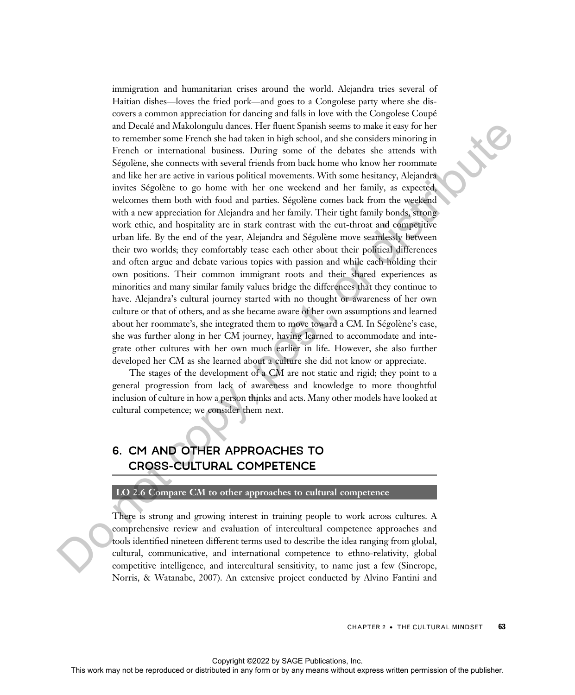immigration and humanitarian crises around the world. Alejandra tries several of Haitian dishes—loves the fried pork—and goes to a Congolese party where she discovers a common appreciation for dancing and falls in love with the Congolese Coupé and Decalé and Makolongulu dances. Her fluent Spanish seems to make it easy for her to remember some French she had taken in high school, and she considers minoring in French or international business. During some of the debates she attends with Ségolène, she connects with several friends from back home who know her roommate and like her are active in various political movements. With some hesitancy, Alejandra invites Ségolène to go home with her one weekend and her family, as expected, welcomes them both with food and parties. Ségolène comes back from the weekend with a new appreciation for Alejandra and her family. Their tight family bonds, strong work ethic, and hospitality are in stark contrast with the cut-throat and competitive urban life. By the end of the year, Alejandra and Ségolène move seamlessly between their two worlds; they comfortably tease each other about their political differences and often argue and debate various topics with passion and while each holding their own positions. Their common immigrant roots and their shared experiences as minorities and many similar family values bridge the differences that they continue to have. Alejandra's cultural journey started with no thought or awareness of her own culture or that of others, and as she became aware of her own assumptions and learned about her roommate's, she integrated them to move toward a CM. In Ségolène's case, she was further along in her CM journey, having learned to accommodate and integrate other cultures with her own much earlier in life. However, she also further developed her CM as she learned about a culture she did not know or appreciate. and Download Makidongalo diators. Here there is some of the cluster is expressed or the removement or the system of the consider simulation because the right space of the debates the range of the publisher sheet and the p

The stages of the development of a CM are not static and rigid; they point to a general progression from lack of awareness and knowledge to more thoughtful inclusion of culture in how a person thinks and acts. Many other models have looked at cultural competence; we consider them next.

## 6. CM AND OTHER APPROACHES TO CROSS-CULTURAL COMPETENCE

#### LO 2.6 Compare CM to other approaches to cultural competence

There is strong and growing interest in training people to work across cultures. A comprehensive review and evaluation of intercultural competence approaches and tools identified nineteen different terms used to describe the idea ranging from global, cultural, communicative, and international competence to ethno-relativity, global competitive intelligence, and intercultural sensitivity, to name just a few (Sincrope, Norris, & Watanabe, 2007). An extensive project conducted by Alvino Fantini and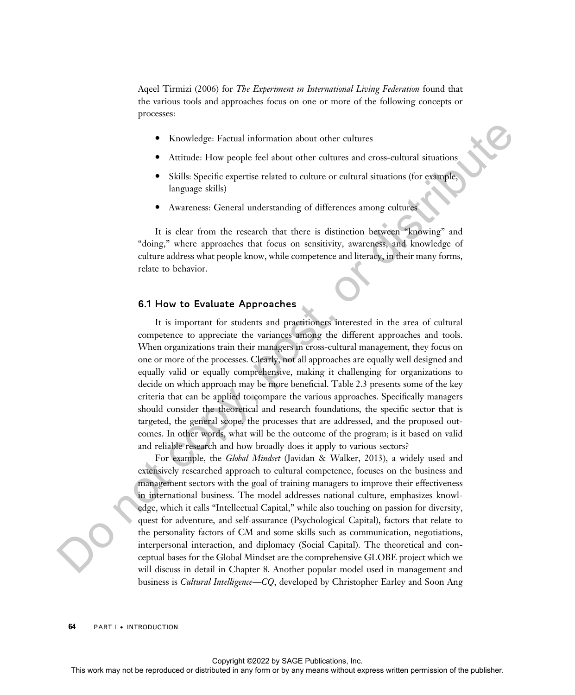Aqeel Tirmizi (2006) for *The Experiment in International Living Federation* found that the various tools and approaches focus on one or more of the following concepts or processes:

- Knowledge: Factual information about other cultures
- Attitude: How people feel about other cultures and cross-cultural situations
- Skills: Specific expertise related to culture or cultural situations (for example, language skills)
- Awareness: General understanding of differences among cultures

It is clear from the research that there is distinction between "knowing" and "doing," where approaches that focus on sensitivity, awareness, and knowledge of culture address what people know, while competence and literacy, in their many forms, relate to behavior.

#### 6.1 How to Evaluate Approaches

It is important for students and practitioners interested in the area of cultural competence to appreciate the variances among the different approaches and tools. When organizations train their managers in cross-cultural management, they focus on one or more of the processes. Clearly, not all approaches are equally well designed and equally valid or equally comprehensive, making it challenging for organizations to decide on which approach may be more beneficial. Table 2.3 presents some of the key criteria that can be applied to compare the various approaches. Specifically managers should consider the theoretical and research foundations, the specific sector that is targeted, the general scope, the processes that are addressed, and the proposed outcomes. In other words, what will be the outcome of the program; is it based on valid and reliable research and how broadly does it apply to various sectors?

For example, the Global Mindset (Javidan & Walker, 2013), a widely used and extensively researched approach to cultural competence, focuses on the business and management sectors with the goal of training managers to improve their effectiveness in international business. The model addresses national culture, emphasizes knowledge, which it calls "Intellectual Capital," while also touching on passion for diversity, quest for adventure, and self-assurance (Psychological Capital), factors that relate to the personality factors of CM and some skills such as communication, negotiations, interpersonal interaction, and diplomacy (Social Capital). The theoretical and conceptual bases for the Global Mindset are the comprehensive GLOBE project which we will discuss in detail in Chapter 8. Another popular model used in management and business is *Cultural Intelligence—CQ*, developed by Christopher Earley and Soon Ang This workedge. Factual information about order colours and consecuenced distributed in a distribution of the representation of the second or between the second or be represented in a distributed in any form of the publish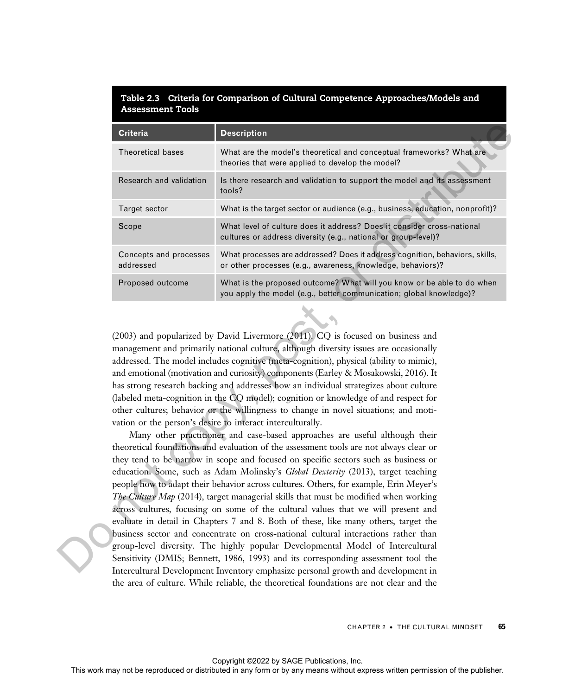#### Table 2.3 Criteria for Comparison of Cultural Competence Approaches/Models and Assessment Tools

|                                                                                       | <b>Criteria</b>                                                                                                                                                                                                                                                                                                                                                                                                                                                                                                                                                                                                                                                                                                                                                                                                                                                                                                                                                                                                                                                                                                                                                                                                                                                                                                                                                                                                                                                                                                                                                                                                                                                                  | <b>Description</b>                                                                                                                                                            |  |  |
|---------------------------------------------------------------------------------------|----------------------------------------------------------------------------------------------------------------------------------------------------------------------------------------------------------------------------------------------------------------------------------------------------------------------------------------------------------------------------------------------------------------------------------------------------------------------------------------------------------------------------------------------------------------------------------------------------------------------------------------------------------------------------------------------------------------------------------------------------------------------------------------------------------------------------------------------------------------------------------------------------------------------------------------------------------------------------------------------------------------------------------------------------------------------------------------------------------------------------------------------------------------------------------------------------------------------------------------------------------------------------------------------------------------------------------------------------------------------------------------------------------------------------------------------------------------------------------------------------------------------------------------------------------------------------------------------------------------------------------------------------------------------------------|-------------------------------------------------------------------------------------------------------------------------------------------------------------------------------|--|--|
|                                                                                       | Theoretical bases                                                                                                                                                                                                                                                                                                                                                                                                                                                                                                                                                                                                                                                                                                                                                                                                                                                                                                                                                                                                                                                                                                                                                                                                                                                                                                                                                                                                                                                                                                                                                                                                                                                                | What are the model's theoretical and conceptual frameworks? What are<br>theories that were applied to develop the model?                                                      |  |  |
|                                                                                       | Research and validation                                                                                                                                                                                                                                                                                                                                                                                                                                                                                                                                                                                                                                                                                                                                                                                                                                                                                                                                                                                                                                                                                                                                                                                                                                                                                                                                                                                                                                                                                                                                                                                                                                                          | Is there research and validation to support the model and its assessment<br>tools?                                                                                            |  |  |
|                                                                                       | Target sector                                                                                                                                                                                                                                                                                                                                                                                                                                                                                                                                                                                                                                                                                                                                                                                                                                                                                                                                                                                                                                                                                                                                                                                                                                                                                                                                                                                                                                                                                                                                                                                                                                                                    | What is the target sector or audience (e.g., business, education, nonprofit)?                                                                                                 |  |  |
|                                                                                       | Scope                                                                                                                                                                                                                                                                                                                                                                                                                                                                                                                                                                                                                                                                                                                                                                                                                                                                                                                                                                                                                                                                                                                                                                                                                                                                                                                                                                                                                                                                                                                                                                                                                                                                            | What level of culture does it address? Does it consider cross-national<br>cultures or address diversity (e.g., national or group-level)?                                      |  |  |
|                                                                                       | Concepts and processes<br>addressed                                                                                                                                                                                                                                                                                                                                                                                                                                                                                                                                                                                                                                                                                                                                                                                                                                                                                                                                                                                                                                                                                                                                                                                                                                                                                                                                                                                                                                                                                                                                                                                                                                              | What processes are addressed? Does it address cognition, behaviors, skills,<br>or other processes (e.g., awareness, knowledge, behaviors)?                                    |  |  |
|                                                                                       | Proposed outcome                                                                                                                                                                                                                                                                                                                                                                                                                                                                                                                                                                                                                                                                                                                                                                                                                                                                                                                                                                                                                                                                                                                                                                                                                                                                                                                                                                                                                                                                                                                                                                                                                                                                 | What is the proposed outcome? What will you know or be able to do when<br>you apply the model (e.g., better communication; global knowledge)?                                 |  |  |
|                                                                                       |                                                                                                                                                                                                                                                                                                                                                                                                                                                                                                                                                                                                                                                                                                                                                                                                                                                                                                                                                                                                                                                                                                                                                                                                                                                                                                                                                                                                                                                                                                                                                                                                                                                                                  |                                                                                                                                                                               |  |  |
| management and primarily national culture, although diversity issues are occasionally | addressed. The model includes cognitive (meta-cognition), physical (ability to mimic),<br>and emotional (motivation and curiosity) components (Earley & Mosakowski, 2016). It<br>has strong research backing and addresses how an individual strategizes about culture<br>(labeled meta-cognition in the CQ model); cognition or knowledge of and respect for<br>other cultures; behavior or the willingness to change in novel situations; and moti-<br>vation or the person's desire to interact interculturally.<br>Many other practitioner and case-based approaches are useful although their<br>theoretical foundations and evaluation of the assessment tools are not always clear or<br>they tend to be narrow in scope and focused on specific sectors such as business or<br>education. Some, such as Adam Molinsky's Global Dexterity (2013), target teaching<br>people how to adapt their behavior across cultures. Others, for example, Erin Meyer's<br>The Culture Map (2014), target managerial skills that must be modified when working<br>across cultures, focusing on some of the cultural values that we will present and<br>evaluate in detail in Chapters 7 and 8. Both of these, like many others, target the<br>business sector and concentrate on cross-national cultural interactions rather than<br>group-level diversity. The highly popular Developmental Model of Intercultural<br>Sensitivity (DMIS; Bennett, 1986, 1993) and its corresponding assessment tool the<br>Intercultural Development Inventory emphasize personal growth and development in<br>the area of culture. While reliable, the theoretical foundations are not clear and the |                                                                                                                                                                               |  |  |
|                                                                                       |                                                                                                                                                                                                                                                                                                                                                                                                                                                                                                                                                                                                                                                                                                                                                                                                                                                                                                                                                                                                                                                                                                                                                                                                                                                                                                                                                                                                                                                                                                                                                                                                                                                                                  | 65<br>CHAPTER 2 . THE CULTURAL MINDSET                                                                                                                                        |  |  |
|                                                                                       |                                                                                                                                                                                                                                                                                                                                                                                                                                                                                                                                                                                                                                                                                                                                                                                                                                                                                                                                                                                                                                                                                                                                                                                                                                                                                                                                                                                                                                                                                                                                                                                                                                                                                  | Copyright ©2022 by SAGE Publications, Inc.<br>This work may not be reproduced or distributed in any form or by any means without express written permission of the publisher. |  |  |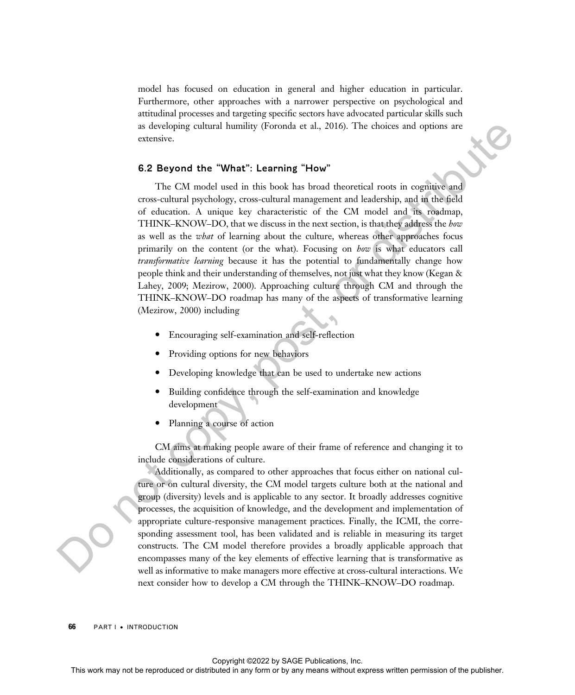model has focused on education in general and higher education in particular. Furthermore, other approaches with a narrower perspective on psychological and attitudinal processes and targeting specific sectors have advocated particular skills such as developing cultural humility (Foronda et al., 2016). The choices and options are extensive.

#### 6.2 Beyond the "What": Learning "How"

The CM model used in this book has broad theoretical roots in cognitive and cross-cultural psychology, cross-cultural management and leadership, and in the field of education. A unique key characteristic of the CM model and its roadmap, THINK–KNOW–DO, that we discuss in the next section, is that they address the how as well as the *what* of learning about the culture, whereas other approaches focus primarily on the content (or the what). Focusing on how is what educators call *transformative learning* because it has the potential to fundamentally change how people think and their understanding of themselves, not just what they know (Kegan & Lahey, 2009; Mezirow, 2000). Approaching culture through CM and through the THINK–KNOW–DO roadmap has many of the aspects of transformative learning (Mezirow, 2000) including The computer or distributed or distributed in the representation of the representation of the representation of the publisher and the publisher of the publisher. This weak means were controlled in the publisher of the pub

- · Encouraging self-examination and self-reflection
- · Providing options for new behaviors
- Developing knowledge that can be used to undertake new actions
- · Building confidence through the self-examination and knowledge development
- Planning a course of action

CM aims at making people aware of their frame of reference and changing it to include considerations of culture.

Additionally, as compared to other approaches that focus either on national culture or on cultural diversity, the CM model targets culture both at the national and group (diversity) levels and is applicable to any sector. It broadly addresses cognitive processes, the acquisition of knowledge, and the development and implementation of appropriate culture-responsive management practices. Finally, the ICMI, the corresponding assessment tool, has been validated and is reliable in measuring its target constructs. The CM model therefore provides a broadly applicable approach that encompasses many of the key elements of effective learning that is transformative as well as informative to make managers more effective at cross-cultural interactions. We next consider how to develop a CM through the THINK–KNOW–DO roadmap.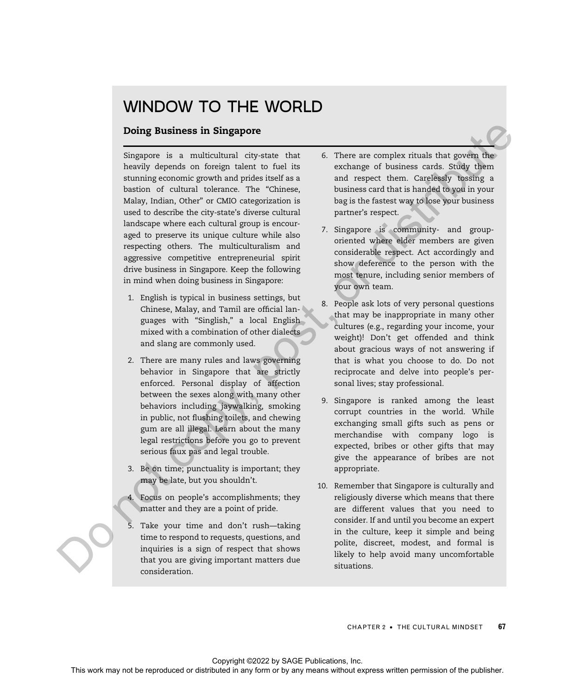## WINDOW TO THE WORLD

#### Doing Business in Singapore

Singapore is a multicultural city-state that heavily depends on foreign talent to fuel its stunning economic growth and prides itself as a bastion of cultural tolerance. The "Chinese, Malay, Indian, Other" or CMIO categorization is used to describe the city-state's diverse cultural landscape where each cultural group is encouraged to preserve its unique culture while also respecting others. The multiculturalism and aggressive competitive entrepreneurial spirit drive business in Singapore. Keep the following in mind when doing business in Singapore: **Doing Business in Singapore**<br>
Singapore is a resultationed interval to continue the continue or distributed interval to the continue or by any means were the simulation of the publisher or distributed in any means with r

- 1. English is typical in business settings, but Chinese, Malay, and Tamil are official languages with "Singlish," a local English mixed with a combination of other dialects and slang are commonly used.
- 2. There are many rules and laws governing behavior in Singapore that are strictly enforced. Personal display of affection between the sexes along with many other behaviors including jaywalking, smoking in public, not flushing toilets, and chewing gum are all illegal. Learn about the many legal restrictions before you go to prevent serious faux pas and legal trouble.
- 3. Be on time; punctuality is important; they may be late, but you shouldn't.
- 4. Focus on people's accomplishments; they matter and they are a point of pride.
- 5. Take your time and don't rush—taking time to respond to requests, questions, and inquiries is a sign of respect that shows that you are giving important matters due consideration.
- 6. There are complex rituals that govern the exchange of business cards. Study them and respect them. Carelessly tossing a business card that is handed to you in your bag is the fastest way to lose your business partner's respect.
- 7. Singapore is community- and grouporiented where elder members are given considerable respect. Act accordingly and show deference to the person with the most tenure, including senior members of your own team.
- 8. People ask lots of very personal questions that may be inappropriate in many other cultures (e.g., regarding your income, your weight)! Don't get offended and think about gracious ways of not answering if that is what you choose to do. Do not reciprocate and delve into people's personal lives; stay professional.
- 9. Singapore is ranked among the least corrupt countries in the world. While exchanging small gifts such as pens or merchandise with company logo is expected, bribes or other gifts that may give the appearance of bribes are not appropriate.
- 10. Remember that Singapore is culturally and religiously diverse which means that there are different values that you need to consider. If and until you become an expert in the culture, keep it simple and being polite, discreet, modest, and formal is likely to help avoid many uncomfortable situations.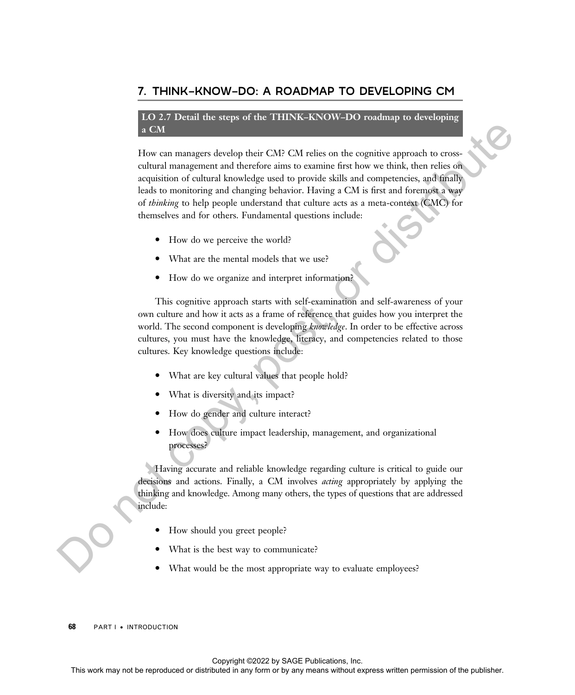### 7. THINK–KNOW–DO: A ROADMAP TO DEVELOPING CM

#### LO 2.7 Detail the steps of the THINK–KNOW–DO roadmap to developing a CM

How can managers develop their CM? CM relies on the cognitive approach to crosscultural management and therefore aims to examine first how we think, then relies on acquisition of cultural knowledge used to provide skills and competencies, and finally leads to monitoring and changing behavior. Having a CM is first and foremost a way of thinking to help people understand that culture acts as a meta-context (CMC) for themselves and for others. Fundamental questions include: This work may detect the representation or distributed in any form or between the representation of colonic state in any form or by any means without express with the complete and the produced in any considerably the publ

- How do we perceive the world?
- · What are the mental models that we use?
- · How do we organize and interpret information?

This cognitive approach starts with self-examination and self-awareness of your own culture and how it acts as a frame of reference that guides how you interpret the world. The second component is developing knowledge. In order to be effective across cultures, you must have the knowledge, literacy, and competencies related to those cultures. Key knowledge questions include:

- · What are key cultural values that people hold?
- What is diversity and its impact?
- How do gender and culture interact?
- · How does culture impact leadership, management, and organizational processes?

Having accurate and reliable knowledge regarding culture is critical to guide our decisions and actions. Finally, a CM involves *acting* appropriately by applying the thinking and knowledge. Among many others, the types of questions that are addressed include:

- · How should you greet people?
- What is the best way to communicate?
- What would be the most appropriate way to evaluate employees?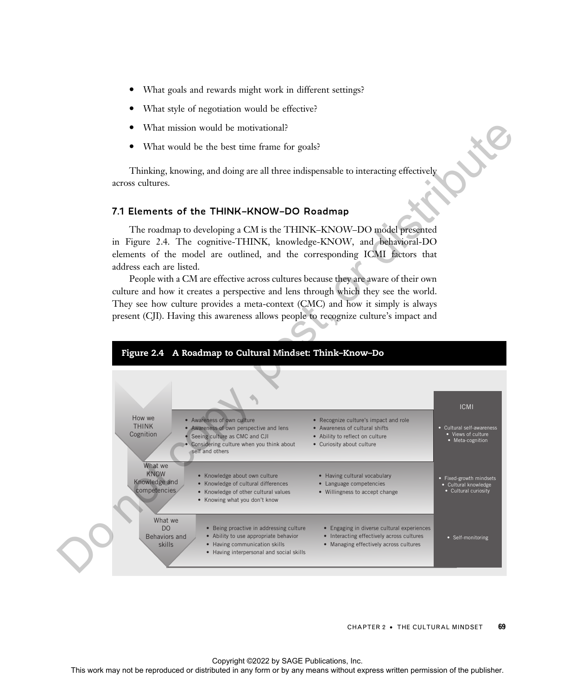- What goals and rewards might work in different settings?
- What style of negotiation would be effective?
- What mission would be motivational?
- · What would be the best time frame for goals?

Thinking, knowing, and doing are all three indispensable to interacting effectively across cultures.

#### 7.1 Elements of the THINK–KNOW–DO Roadmap

The roadmap to developing a CM is the THINK–KNOW–DO model presented in Figure 2.4. The cognitive-THINK, knowledge-KNOW, and behavioral-DO elements of the model are outlined, and the corresponding ICMI factors that address each are listed.

People with a CM are effective across cultures because they are aware of their own culture and how it creates a perspective and lens through which they see the world. They see how culture provides a meta-context (CMC) and how it simply is always present (CJI). Having this awareness allows people to recognize culture's impact and



CHAPTER 2 • THE CULTURAL MINDSET 69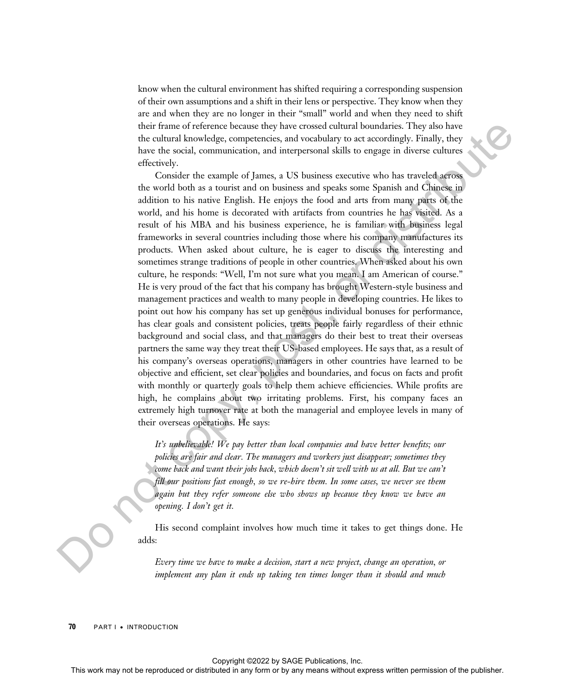know when the cultural environment has shifted requiring a corresponding suspension of their own assumptions and a shift in their lens or perspective. They know when they are and when they are no longer in their "small" world and when they need to shift their frame of reference because they have crossed cultural boundaries. They also have the cultural knowledge, competencies, and vocabulary to act accordingly. Finally, they have the social, communication, and interpersonal skills to engage in diverse cultures effectively.

Consider the example of James, a US business executive who has traveled across the world both as a tourist and on business and speaks some Spanish and Chinese in addition to his native English. He enjoys the food and arts from many parts of the world, and his home is decorated with artifacts from countries he has visited. As a result of his MBA and his business experience, he is familiar with business legal frameworks in several countries including those where his company manufactures its products. When asked about culture, he is eager to discuss the interesting and sometimes strange traditions of people in other countries. When asked about his own culture, he responds: "Well, I'm not sure what you mean. I am American of course." He is very proud of the fact that his company has brought Western-style business and management practices and wealth to many people in developing countries. He likes to point out how his company has set up generous individual bonuses for performance, has clear goals and consistent policies, treats people fairly regardless of their ethnic background and social class, and that managers do their best to treat their overseas partners the same way they treat their US-based employees. He says that, as a result of his company's overseas operations, managers in other countries have learned to be objective and efficient, set clear policies and boundaries, and focus on facts and profit with monthly or quarterly goals to help them achieve efficiencies. While profits are high, he complains about two irritating problems. First, his company faces an extremely high turnover rate at both the managerial and employee levels in many of their overseas operations. He says: This work may not be reproduced or the reproduced or the results of They into the reproduced or the results of the results of the results of the results of the results of the results of the publisher or distributed in any

It's unbelievable! We pay better than local companies and have better benefits; our policies are fair and clear. The managers and workers just disappear; sometimes they come back and want their jobs back, which doesn't sit well with us at all. But we can't fill our positions fast enough, so we re-hire them. In some cases, we never see them again but they refer someone else who shows up because they know we have an opening. I don't get it.

His second complaint involves how much time it takes to get things done. He adds:

Every time we have to make a decision, start a new project, change an operation, or implement any plan it ends up taking ten times longer than it should and much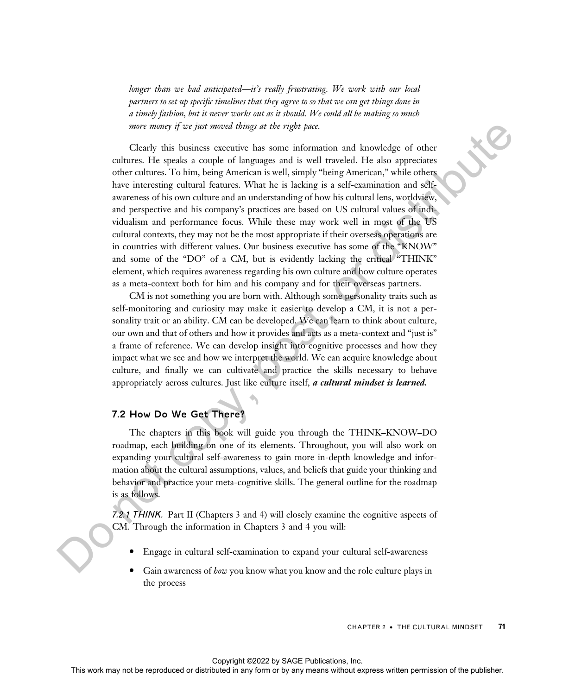longer than we had anticipated—it's really frustrating. We work with our local partners to set up specific timelines that they agree to so that we can get things done in a timely fashion, but it never works out as it should. We could all be making so much more money if we just moved things at the right pace.

Clearly this business executive has some information and knowledge of other cultures. He speaks a couple of languages and is well traveled. He also appreciates other cultures. To him, being American is well, simply "being American," while others have interesting cultural features. What he is lacking is a self-examination and selfawareness of his own culture and an understanding of how his cultural lens, worldview, and perspective and his company's practices are based on US cultural values of individualism and performance focus. While these may work well in most of the US cultural contexts, they may not be the most appropriate if their overseas operations are in countries with different values. Our business executive has some of the "KNOW" and some of the "DO" of a CM, but is evidently lacking the critical "THINK" element, which requires awareness regarding his own culture and how culture operates as a meta-context both for him and his company and for their overseas partners. For the reproduced or distributed or distributed in a state and interaction in a bundle of the reproduced or distributed in a state of the respect of the publisher or bundle in a state of the publisher. The publisher of t

CM is not something you are born with. Although some personality traits such as self-monitoring and curiosity may make it easier to develop a CM, it is not a personality trait or an ability. CM can be developed. We can learn to think about culture, our own and that of others and how it provides and acts as a meta-context and "just is" a frame of reference. We can develop insight into cognitive processes and how they impact what we see and how we interpret the world. We can acquire knowledge about culture, and finally we can cultivate and practice the skills necessary to behave appropriately across cultures. Just like culture itself, a cultural mindset is learned.

#### 7.2 How Do We Get There?

The chapters in this book will guide you through the THINK–KNOW–DO roadmap, each building on one of its elements. Throughout, you will also work on expanding your cultural self-awareness to gain more in-depth knowledge and information about the cultural assumptions, values, and beliefs that guide your thinking and behavior and practice your meta-cognitive skills. The general outline for the roadmap is as follows.

7.2.1 THINK. Part II (Chapters 3 and 4) will closely examine the cognitive aspects of CM. Through the information in Chapters 3 and 4 you will:

- Engage in cultural self-examination to expand your cultural self-awareness
- Gain awareness of how you know what you know and the role culture plays in the process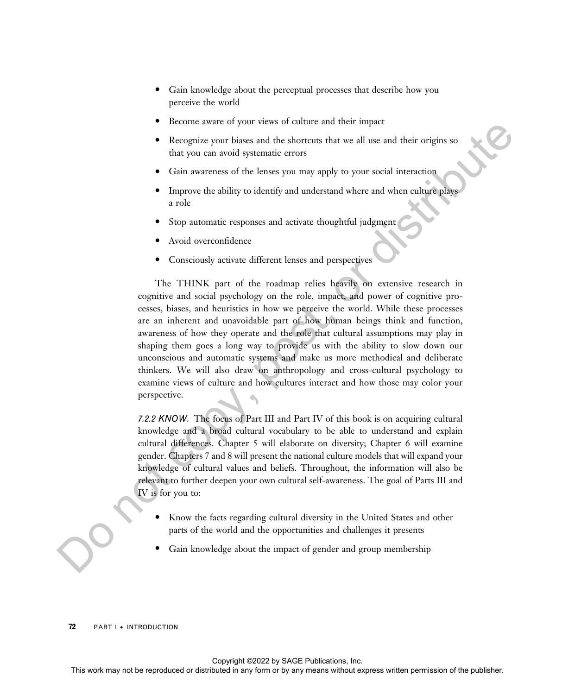- Gain knowledge about the perceptual processes that describe how you perceive the world
- Become aware of your views of culture and their impact
- Recognize your biases and the shortcuts that we all use and their origins so that you can avoid systematic errors
- Gain awareness of the lenses you may apply to your social interaction
- Improve the ability to identify and understand where and when culture plays a role
- Stop automatic responses and activate thoughtful judgment
- Avoid overconfidence
- Consciously activate different lenses and perspectives

The THINK part of the roadmap relies heavily on extensive research in cognitive and social psychology on the role, impact, and power of cognitive processes, biases, and heuristics in how we perceive the world. While these processes are an inherent and unavoidable part of how human beings think and function, awareness of how they operate and the role that cultural assumptions may play in shaping them goes a long way to provide us with the ability to slow down our unconscious and automatic systems and make us more methodical and deliberate thinkers. We will also draw on anthropology and cross-cultural psychology to examine views of culture and how cultures interact and how those may color your perspective. From the representation of the between the two all the and most may not be reproduced to the reproduced or the reproduced or the policies with the publisher. This was not be reproduced to the policies with the policies wi

7.2.2 KNOW. The focus of Part III and Part IV of this book is on acquiring cultural knowledge and a broad cultural vocabulary to be able to understand and explain cultural differences. Chapter 5 will elaborate on diversity; Chapter 6 will examine gender. Chapters 7 and 8 will present the national culture models that will expand your knowledge of cultural values and beliefs. Throughout, the information will also be relevant to further deepen your own cultural self-awareness. The goal of Parts III and IV is for you to:

- Know the facts regarding cultural diversity in the United States and other parts of the world and the opportunities and challenges it presents
- Gain knowledge about the impact of gender and group membership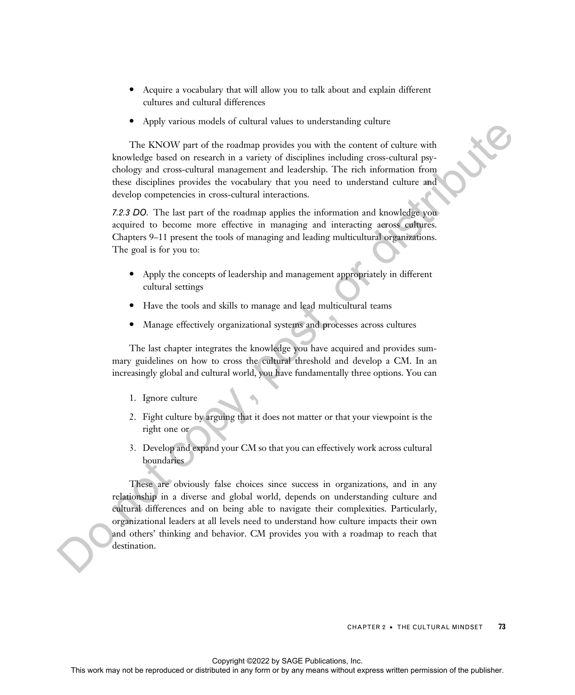- Acquire a vocabulary that will allow you to talk about and explain different cultures and cultural differences
- · Apply various models of cultural values to understanding culture

The KNOW part of the roadmap provides you with the content of culture with knowledge based on research in a variety of disciplines including cross-cultural psychology and cross-cultural management and leadership. The rich information from these disciplines provides the vocabulary that you need to understand culture and develop competencies in cross-cultural interactions.

7.2.3 DO. The last part of the roadmap applies the information and knowledge you acquired to become more effective in managing and interacting across cultures. Chapters 9–11 present the tools of managing and leading multicultural organizations. The goal is for you to:

- · Apply the concepts of leadership and management appropriately in different cultural settings
- · Have the tools and skills to manage and lead multicultural teams
- · Manage effectively organizational systems and processes across cultures

The last chapter integrates the knowledge you have acquired and provides summary guidelines on how to cross the cultural threshold and develop a CM. In an increasingly global and cultural world, you have fundamentally three options. You can

- 1. Ignore culture
- 2. Fight culture by arguing that it does not matter or that your viewpoint is the right one or
- 3. Develop and expand your CM so that you can effectively work across cultural boundaries

These are obviously false choices since success in organizations, and in any relationship in a diverse and global world, depends on understanding culture and cultural differences and on being able to navigate their complexities. Particularly, organizational leaders at all levels need to understand how culture impacts their own and others' thinking and behavior. CM provides you with a roadmap to reach that destination. The KNOW part of the resulting position you can be used to a control of the resulting to result of any means of the resulting to result to the relation of the relation of the relation of the relation of the relation of th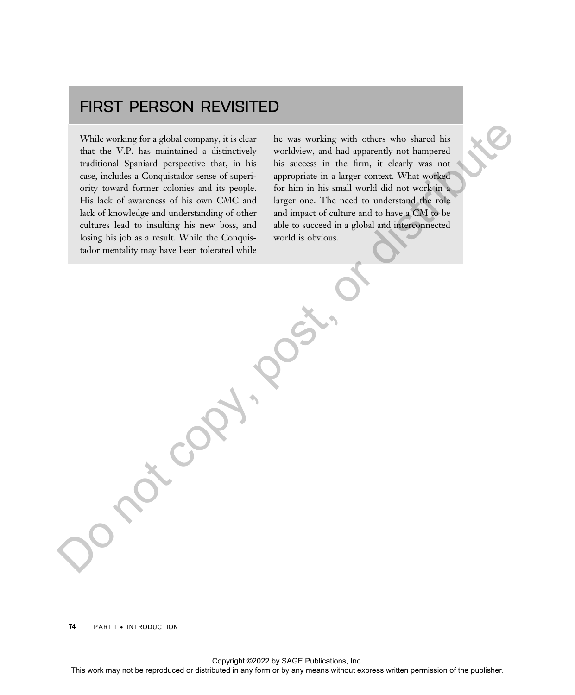## FIRST PERSON REVISITED

While working for a global company, it is clear that the V.P. has maintained a distinctively traditional Spaniard perspective that, in his case, includes a Conquistador sense of superiority toward former colonies and its people. His lack of awareness of his own CMC and lack of knowledge and understanding of other cultures lead to insulting his new boss, and losing his job as a result. While the Conquistador mentality may have been tolerated while While working for a global company, it is chear the reproduced or distributed in the reproduced or distributed in any means of the publisher and the publisher and the publisher. The base of the publisher and the publisher

he was working with others who shared his worldview, and had apparently not hampered his success in the firm, it clearly was not appropriate in a larger context. What worked for him in his small world did not work in a larger one. The need to understand the role and impact of culture and to have a CM to be able to succeed in a global and interconnected world is obvious.

74 **PART I • INTRODUCTION**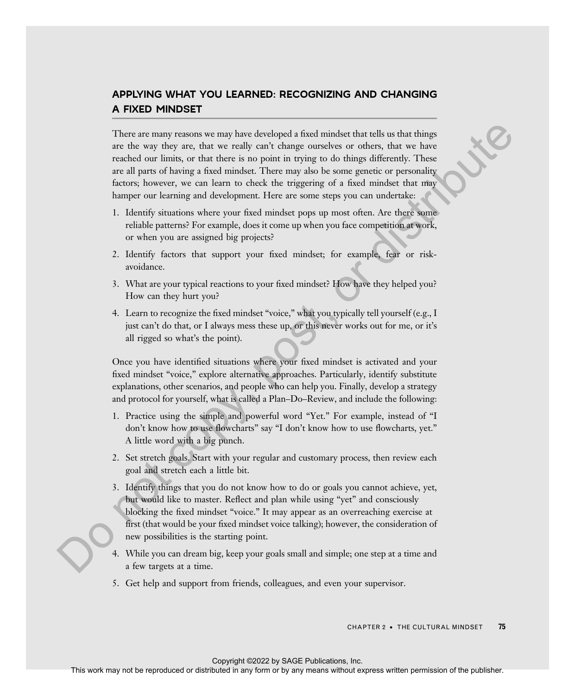## APPLYING WHAT YOU LEARNED: RECOGNIZING AND CHANGING A FIXED MINDSET

There are many reasons we may have developed a fixed mindset that tells us that things are the way they are, that we really can't change ourselves or others, that we have reached our limits, or that there is no point in trying to do things differently. These are all parts of having a fixed mindset. There may also be some genetic or personality factors; however, we can learn to check the triggering of a fixed mindset that may hamper our learning and development. Here are some steps you can undertake: These are considered or distributed in also include in any form or distributed in any form or distributed in any form or by any means we consider the publisher. These may also the distributed in the publisher any form or

- 1. Identify situations where your fixed mindset pops up most often. Are there some reliable patterns? For example, does it come up when you face competition at work, or when you are assigned big projects?
- 2. Identify factors that support your fixed mindset; for example, fear or riskavoidance.
- 3. What are your typical reactions to your fixed mindset? How have they helped you? How can they hurt you?
- 4. Learn to recognize the fixed mindset "voice," what you typically tell yourself (e.g., I just can't do that, or I always mess these up, or this never works out for me, or it's all rigged so what's the point).

Once you have identified situations where your fixed mindset is activated and your fixed mindset "voice," explore alternative approaches. Particularly, identify substitute explanations, other scenarios, and people who can help you. Finally, develop a strategy and protocol for yourself, what is called a Plan–Do–Review, and include the following:

- 1. Practice using the simple and powerful word "Yet." For example, instead of "I don't know how to use flowcharts" say "I don't know how to use flowcharts, yet." A little word with a big punch.
- 2. Set stretch goals. Start with your regular and customary process, then review each goal and stretch each a little bit.
- 3. Identify things that you do not know how to do or goals you cannot achieve, yet, but would like to master. Reflect and plan while using "yet" and consciously blocking the fixed mindset "voice." It may appear as an overreaching exercise at first (that would be your fixed mindset voice talking); however, the consideration of new possibilities is the starting point.
- 4. While you can dream big, keep your goals small and simple; one step at a time and a few targets at a time.
- 5. Get help and support from friends, colleagues, and even your supervisor.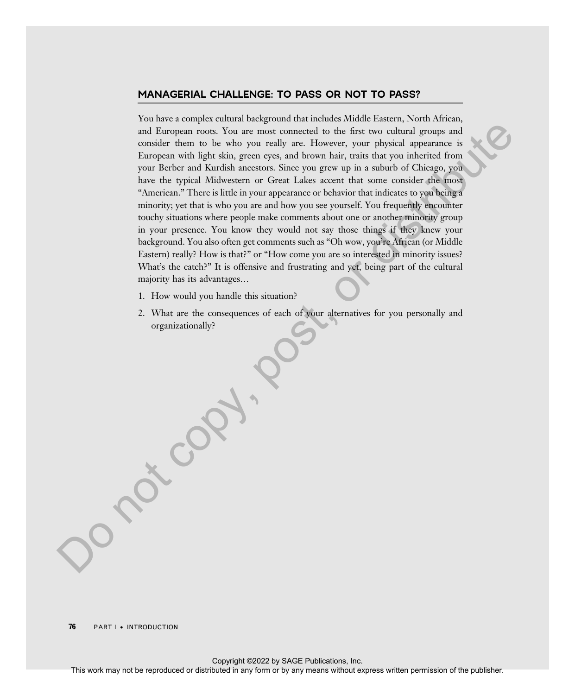#### MANAGERIAL CHALLENGE: TO PASS OR NOT TO PASS?

You have a complex cultural background that includes Middle Eastern, North African, and European roots. You are most connected to the first two cultural groups and consider them to be who you really are. However, your physical appearance is European with light skin, green eyes, and brown hair, traits that you inherited from your Berber and Kurdish ancestors. Since you grew up in a suburb of Chicago, you have the typical Midwestern or Great Lakes accent that some consider the most "American." There is little in your appearance or behavior that indicates to you being a minority; yet that is who you are and how you see yourself. You frequently encounter touchy situations where people make comments about one or another minority group in your presence. You know they would not say those things if they knew your background. You also often get comments such as "Oh wow, you're African (or Middle Eastern) really? How is that?" or "How come you are so interested in minority issues? What's the catch?" It is offensive and frustrating and yet, being part of the cultural majority has its advantages…

- 1. How would you handle this situation?
- 2. What are the consequences of each of your alternatives for you personally and organizationally?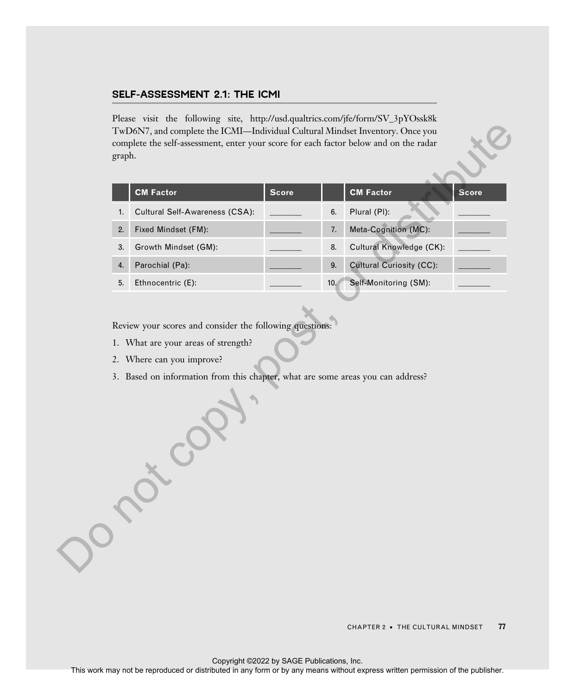#### SELF-ASSESSMENT 2.1: THE ICMI

Please visit the following site, http://usd.qualtrics.com/jfe/form/SV\_3pYOssk8k TwD6N7, and complete the ICMI—Individual Cultural Mindset Inventory. Once you complete the self-assessment, enter your score for each factor below and on the radar graph.

|                  | <b>CM Factor</b>               | <b>Score</b> |     | <b>CM Factor</b>                | <b>Score</b> |
|------------------|--------------------------------|--------------|-----|---------------------------------|--------------|
| 1.               | Cultural Self-Awareness (CSA): |              | 6.  | Plural (PI):                    |              |
| 2.               | Fixed Mindset (FM):            |              | 7.  | Meta-Cognition (MC):            |              |
| 3.               | Growth Mindset (GM):           |              | 8.  | Cultural Knowledge (CK):        |              |
| $\overline{4}$ . | Parochial (Pa):                |              | 9.  | <b>Cultural Curiosity (CC):</b> |              |
| 5.               | Ethnocentric (E):              |              | 10. | Self-Monitoring (SM):           |              |

Review your scores and consider the following questions:

- 1. What are your areas of strength?
- 2. Where can you improve?
- 3. Based on information from this chapter, what are some areas you can address?

CHAPTER 2 • THE CULTURAL MINDSET 77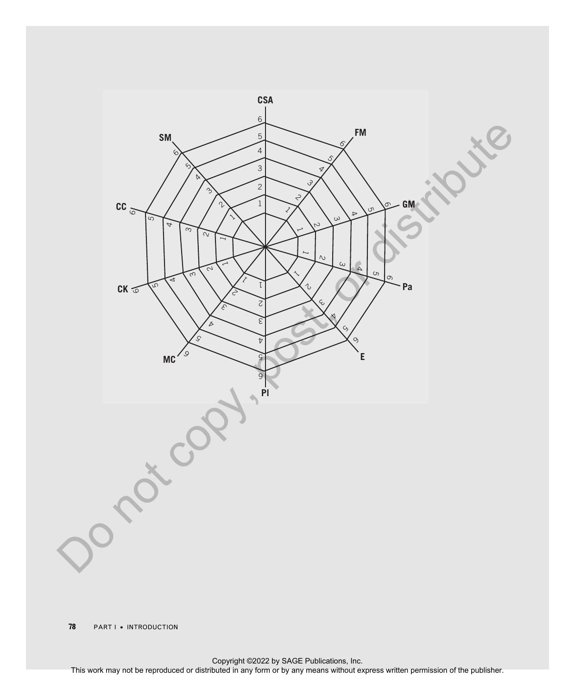

**PARTI** • INTRODUCTION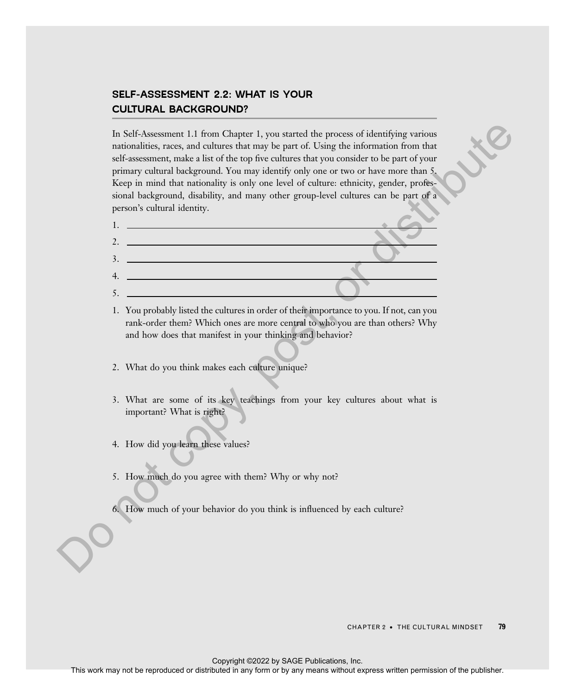## SELF-ASSESSMENT 2.2: WHAT IS YOUR CULTURAL BACKGROUND?

In Self-Assessment 1.1 from Chapter 1, you started the process of identifying various nationalities, races, and cultures that may be part of. Using the information from that self-assessment, make a list of the top five cultures that you consider to be part of your primary cultural background. You may identify only one or two or have more than 5. Keep in mind that nationality is only one level of culture: ethnicity, gender, professional background, disability, and many other group-level cultures can be part of a person's cultural identity.



1. You probably listed the cultures in order of their importance to you. If not, can you rank-order them? Which ones are more central to who you are than others? Why and how does that manifest in your thinking and behavior?

- 2. What do you think makes each culture unique?
- 3. What are some of its key teachings from your key cultures about what is important? What is right?
- 4. How did you learn these values?
- 5. How much do you agree with them? Why or why not?
- 6. How much of your behavior do you think is influenced by each culture?

CHAPTER 2 · THE CULTURAL MINDSET 79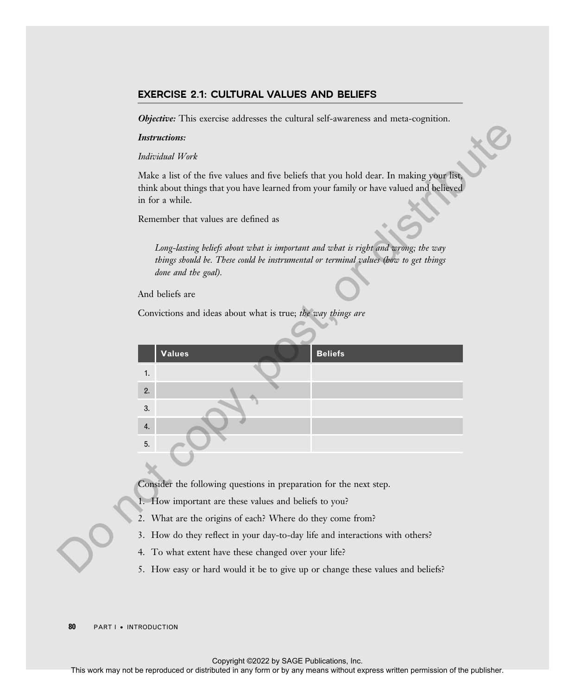#### EXERCISE 2.1: CULTURAL VALUES AND BELIEFS

**Objective:** This exercise addresses the cultural self-awareness and meta-cognition.

#### Instructions:

#### Individual Work

|    | <b>Instructions:</b>                                                                                                                                                                                 |
|----|------------------------------------------------------------------------------------------------------------------------------------------------------------------------------------------------------|
|    | Individual Work                                                                                                                                                                                      |
|    | Make a list of the five values and five beliefs that you hold dear. In making your list,<br>think about things that you have learned from your family or have valued and believed<br>in for a while. |
|    | Remember that values are defined as                                                                                                                                                                  |
|    | Long-lasting beliefs about what is important and what is right and wrong; the way<br>things should be. These could be instrumental or terminal values (how to get things<br>done and the goal).      |
|    | And beliefs are                                                                                                                                                                                      |
|    | Convictions and ideas about what is true; the way things are                                                                                                                                         |
|    | <b>Beliefs</b><br><b>Values</b><br>1.                                                                                                                                                                |
|    | 2.<br>3.<br>4.                                                                                                                                                                                       |
|    | 5.                                                                                                                                                                                                   |
|    | Consider the following questions in preparation for the next step.                                                                                                                                   |
|    | 1. How important are these values and beliefs to you?                                                                                                                                                |
|    | 2. What are the origins of each? Where do they come from?                                                                                                                                            |
|    | 3. How do they reflect in your day-to-day life and interactions with others?<br>4. To what extent have these changed over your life?                                                                 |
|    | 5. How easy or hard would it be to give up or change these values and beliefs?                                                                                                                       |
|    |                                                                                                                                                                                                      |
| 80 | PART I . INTRODUCTION                                                                                                                                                                                |
|    | Copyright @2022 by SAGE Publications, Inc.<br>This work may not be reproduced or distributed in any form or by any means without express written permission of the publisher.                        |

- 1. How important are these values and beliefs to you?
- 2. What are the origins of each? Where do they come from?
- 3. How do they reflect in your day-to-day life and interactions with others?
- 4. To what extent have these changed over your life?
- 5. How easy or hard would it be to give up or change these values and beliefs?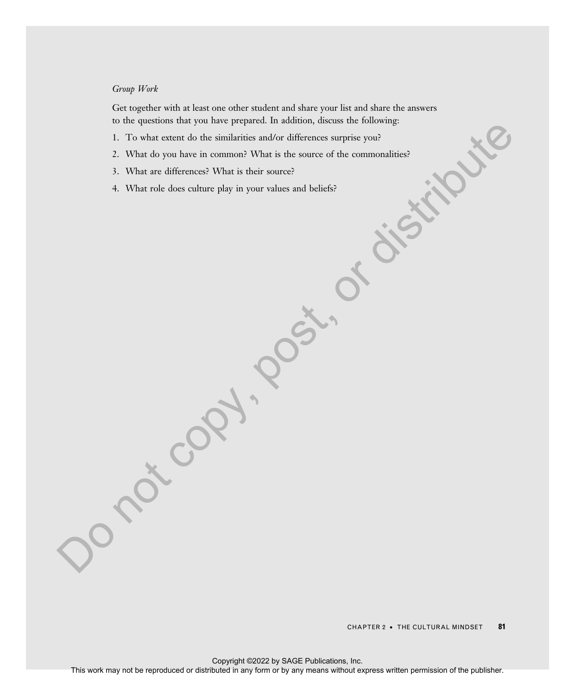#### Group Work

Get together with at least one other student and share your list and share the answers to the questions that you have prepared. In addition, discuss the following:

- 1. To what extent do the similarities and/or differences surprise you?
- 2. What do you have in common? What is the source of the commonalities?
- 3. What are differences? What is their source?
- 4. What role does culture play in your values and beliefs?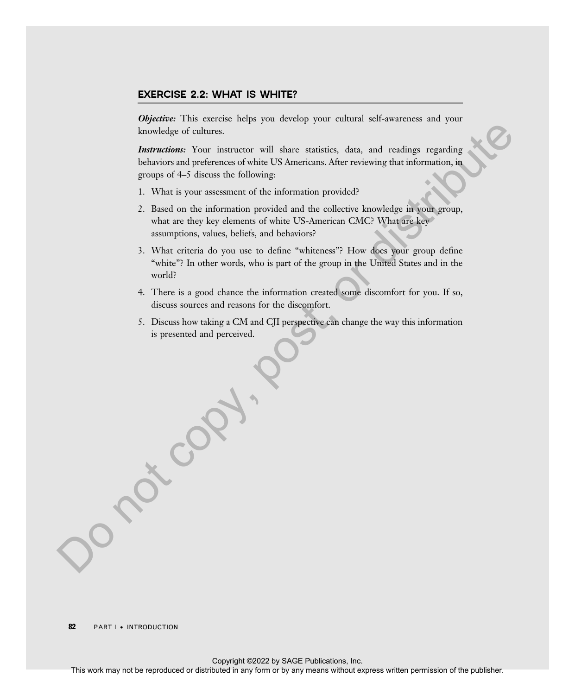#### EXERCISE 2.2: WHAT IS WHITE?

**Objective:** This exercise helps you develop your cultural self-awareness and your knowledge of cultures.

Instructions: Your instructor will share statistics, data, and readings regarding behaviors and preferences of white US Americans. After reviewing that information, in groups of 4–5 discuss the following:

- 1. What is your assessment of the information provided?
- 2. Based on the information provided and the collective knowledge in your group, what are they key elements of white US-American CMC? What are key assumptions, values, beliefs, and behaviors?
- 3. What criteria do you use to define "whiteness"? How does your group define "white"? In other words, who is part of the group in the United States and in the world?
- 4. There is a good chance the information created some discomfort for you. If so, discuss sources and reasons for the discomfort.
- 5. Discuss how taking a CM and CJI perspective can change the way this information is presented and perceived.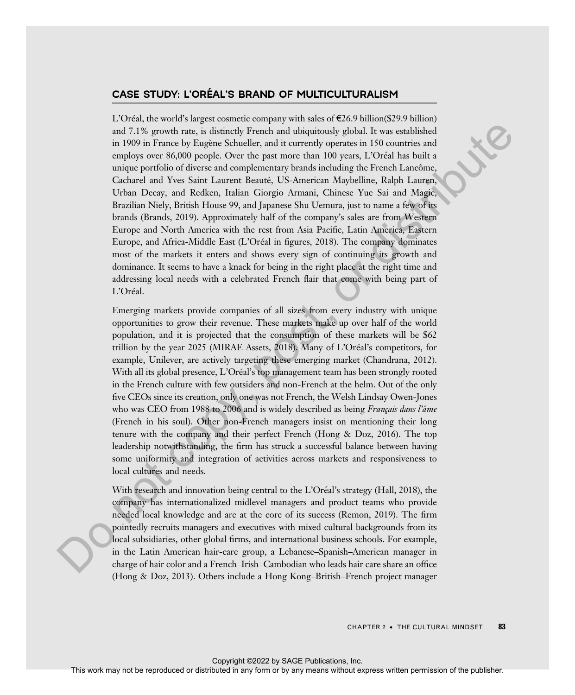#### CASE STUDY: L'ORÉAL'S BRAND OF MULTICULTURALISM

L'Oréal, the world's largest cosmetic company with sales of  $\epsilon$ 26.9 billion(\$29.9 billion) and 7.1% growth rate, is distinctly French and ubiquitously global. It was established in 1909 in France by Eugène Schueller, and it currently operates in 150 countries and employs over 86,000 people. Over the past more than 100 years, L'Oréal has built a unique portfolio of diverse and complementary brands including the French Lancôme, Cacharel and Yves Saint Laurent Beaute, US-American Maybelline, Ralph Lauren, ´ Urban Decay, and Redken, Italian Giorgio Armani, Chinese Yue Sai and Magic, Brazilian Niely, British House 99, and Japanese Shu Uemura, just to name a few of its brands (Brands, 2019). Approximately half of the company's sales are from Western Europe and North America with the rest from Asia Pacific, Latin America, Eastern Europe, and Africa-Middle East (L'Oréal in figures, 2018). The company dominates most of the markets it enters and shows every sign of continuing its growth and dominance. It seems to have a knack for being in the right place at the right time and addressing local needs with a celebrated French flair that come with being part of L'Oréal. This work may not be reproduced or distributed or distributed in two contributed or distributed or distributed or distributed in any form or by any means we can be represented to the publisher. Notice the publisher of the

Emerging markets provide companies of all sizes from every industry with unique opportunities to grow their revenue. These markets make up over half of the world population, and it is projected that the consumption of these markets will be \$62 trillion by the year  $2025$  (MIRAE Assets,  $2018$ ). Many of L'Oréal's competitors, for example, Unilever, are actively targeting these emerging market (Chandrana, 2012). With all its global presence, L'Oréal's top management team has been strongly rooted in the French culture with few outsiders and non-French at the helm. Out of the only five CEOs since its creation, only one was not French, the Welsh Lindsay Owen-Jones who was CEO from 1988 to 2006 and is widely described as being *Français dans l'âme* (French in his soul). Other non-French managers insist on mentioning their long tenure with the company and their perfect French (Hong & Doz, 2016). The top leadership notwithstanding, the firm has struck a successful balance between having some uniformity and integration of activities across markets and responsiveness to local cultures and needs.

With research and innovation being central to the L'Oréal's strategy (Hall, 2018), the company has internationalized midlevel managers and product teams who provide needed local knowledge and are at the core of its success (Remon, 2019). The firm pointedly recruits managers and executives with mixed cultural backgrounds from its local subsidiaries, other global firms, and international business schools. For example, in the Latin American hair-care group, a Lebanese–Spanish–American manager in charge of hair color and a French–Irish–Cambodian who leads hair care share an office (Hong & Doz, 2013). Others include a Hong Kong–British–French project manager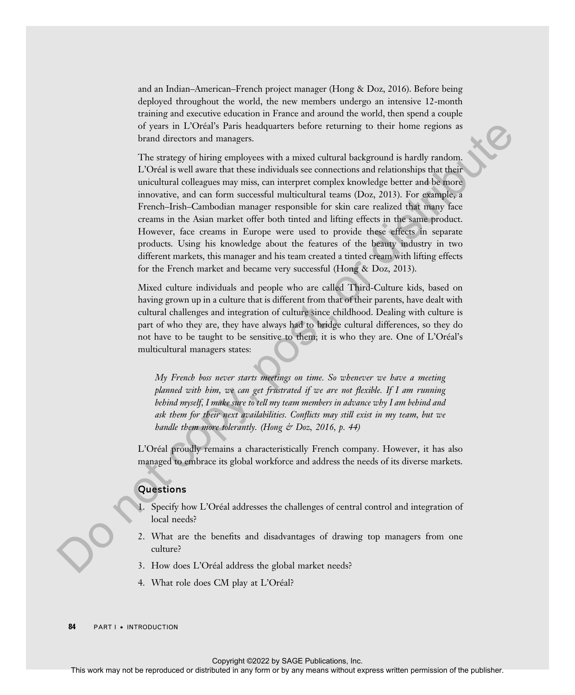and an Indian–American–French project manager (Hong & Doz, 2016). Before being deployed throughout the world, the new members undergo an intensive 12-month training and executive education in France and around the world, then spend a couple of years in L'Oréal's Paris headquarters before returning to their home regions as brand directors and managers.

The strategy of hiring employees with a mixed cultural background is hardly random. L'Oreal is well aware that these individuals see connections and relationships that their ´ unicultural colleagues may miss, can interpret complex knowledge better and be more innovative, and can form successful multicultural teams (Doz, 2013). For example, a French–Irish–Cambodian manager responsible for skin care realized that many face creams in the Asian market offer both tinted and lifting effects in the same product. However, face creams in Europe were used to provide these effects in separate products. Using his knowledge about the features of the beauty industry in two different markets, this manager and his team created a tinted cream with lifting effects for the French market and became very successful (Hong & Doz, 2013). of your in UCM Painting to the relation the relation of the relation of the relation of the relation of the relation of the relation of the publisher of the relationship in the relation of the publisher. The state of the

Mixed culture individuals and people who are called Third-Culture kids, based on having grown up in a culture that is different from that of their parents, have dealt with cultural challenges and integration of culture since childhood. Dealing with culture is part of who they are, they have always had to bridge cultural differences, so they do not have to be taught to be sensitive to them; it is who they are. One of L'Oréal's multicultural managers states:

My French boss never starts meetings on time. So whenever we have a meeting planned with him, we can get frustrated if we are not flexible. If I am running behind myself, I make sure to tell my team members in advance why I am behind and ask them for their next availabilities. Conflicts may still exist in my team, but we handle them more tolerantly. (Hong & Doz, 2016, p. 44)

L'Oreal proudly remains a characteristically French company. However, it has also ´ managed to embrace its global workforce and address the needs of its diverse markets.

### **Questions**

- Specify how L'Oréal addresses the challenges of central control and integration of local needs?
- 2. What are the benefits and disadvantages of drawing top managers from one culture?
- 3. How does L'Oréal address the global market needs?
- 4. What role does CM play at L'Oréal?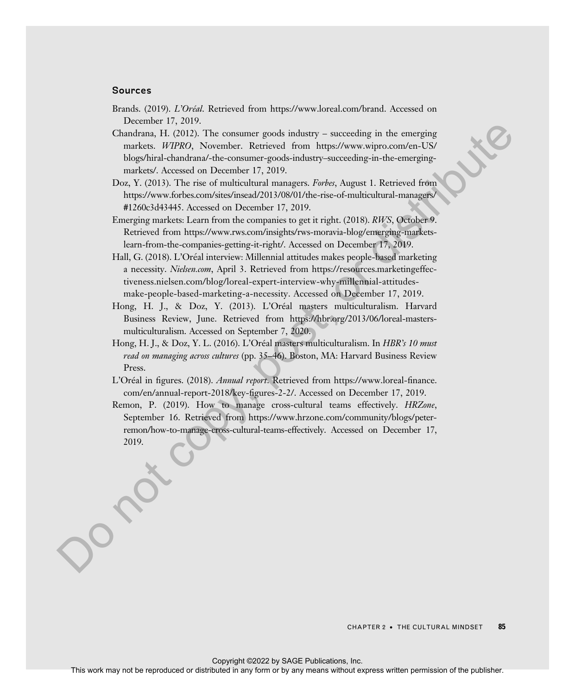#### Sources

- Brands. (2019). L'Oréal. Retrieved from https://www.loreal.com/brand. Accessed on December 17, 2019.
- Chandrana, H.  $(2012)$ . The consumer goods industry succeeding in the emerging markets. WIPRO, November. Retrieved from https://www.wipro.com/en-US/ blogs/hiral-chandrana/-the-consumer-goods-industry–succeeding-in-the-emergingmarkets/. Accessed on December 17, 2019.
- Doz, Y. (2013). The rise of multicultural managers. *Forbes*, August 1. Retrieved from https://www.forbes.com/sites/insead/2013/08/01/the-rise-of-multicultural-managers/ #1260c3d43445. Accessed on December 17, 2019.
- Emerging markets: Learn from the companies to get it right. (2018). RWS, October 9. Retrieved from https://www.rws.com/insights/rws-moravia-blog/emerging-marketslearn-from-the-companies-getting-it-right/. Accessed on December 17, 2019.
- Hall, G. (2018). L'Oréal interview: Millennial attitudes makes people-based marketing a necessity. Nielsen.com, April 3. Retrieved from https://resources.marketingeffectiveness.nielsen.com/blog/loreal-expert-interview-why-millennial-attitudesmake-people-based-marketing-a-necessity. Accessed on December 17, 2019.
- Hong, H. J., & Doz, Y. (2013). L'Oréal masters multiculturalism. Harvard Business Review, June. Retrieved from https://hbr.org/2013/06/loreal-mastersmulticulturalism. Accessed on September 7, 2020.
- Hong, H. J., & Doz, Y. L. (2016). L'Oréal masters multiculturalism. In *HBR's* 10 must read on managing across cultures (pp. 35-46). Boston, MA: Harvard Business Review Press.
- L'Oréal in figures. (2018). Annual report. Retrieved from https://www.loreal-finance. com/en/annual-report-2018/key-figures-2-2/. Accessed on December 17, 2019.
- Remon, P. (2019). How to manage cross-cultural teams effectively. HRZone, September 16. Retrieved from https://www.hrzone.com/community/blogs/peterremon/how-to-manage-cross-cultural-teams-effectively. Accessed on December 17, 2019. Conduced in COUS). The conserver model include the reproduced in the energies may not be reproduced the reproduced in any means with the publisher conserver of the publisher conserver of the publisher. The publisher conse

CHAPTER 2 · THE CULTURAL MINDSET 85